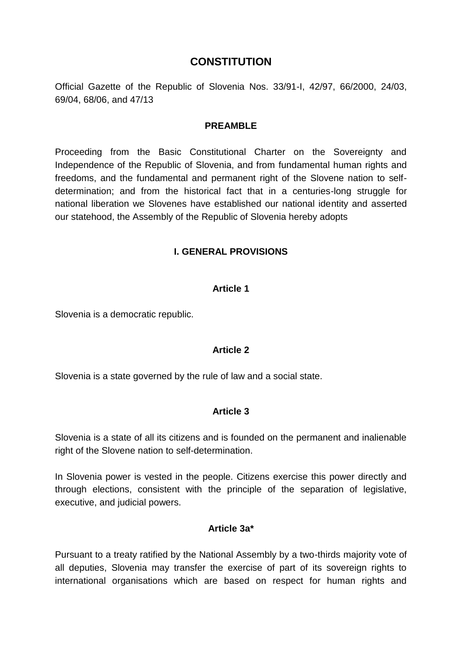# **CONSTITUTION**

Official Gazette of the Republic of Slovenia Nos. 33/91-I, 42/97, 66/2000, 24/03, 69/04, 68/06, and 47/13

### **PREAMBLE**

Proceeding from the Basic Constitutional Charter on the Sovereignty and Independence of the Republic of Slovenia, and from fundamental human rights and freedoms, and the fundamental and permanent right of the Slovene nation to selfdetermination; and from the historical fact that in a centuries-long struggle for national liberation we Slovenes have established our national identity and asserted our statehood, the Assembly of the Republic of Slovenia hereby adopts

### **I. GENERAL PROVISIONS**

#### **Article 1**

Slovenia is a democratic republic.

#### **Article 2**

Slovenia is a state governed by the rule of law and a social state.

### **Article 3**

Slovenia is a state of all its citizens and is founded on the permanent and inalienable right of the Slovene nation to self-determination.

In Slovenia power is vested in the people. Citizens exercise this power directly and through elections, consistent with the principle of the separation of legislative, executive, and judicial powers.

### **Article 3a\***

Pursuant to a treaty ratified by the National Assembly by a two-thirds majority vote of all deputies, Slovenia may transfer the exercise of part of its sovereign rights to international organisations which are based on respect for human rights and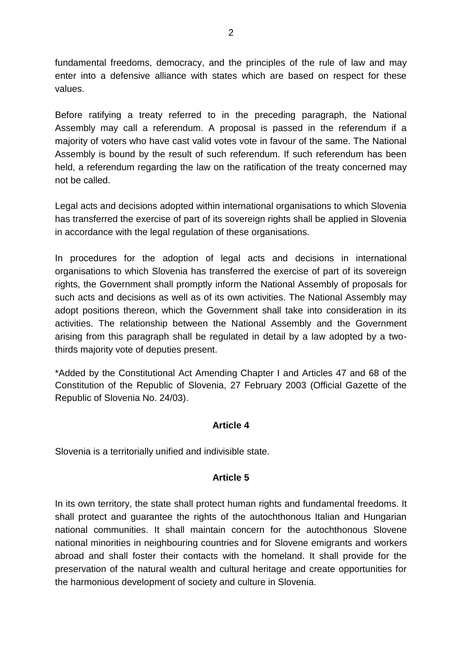fundamental freedoms, democracy, and the principles of the rule of law and may enter into a defensive alliance with states which are based on respect for these values.

Before ratifying a treaty referred to in the preceding paragraph, the National Assembly may call a referendum. A proposal is passed in the referendum if a majority of voters who have cast valid votes vote in favour of the same. The National Assembly is bound by the result of such referendum. If such referendum has been held, a referendum regarding the law on the ratification of the treaty concerned may not be called.

Legal acts and decisions adopted within international organisations to which Slovenia has transferred the exercise of part of its sovereign rights shall be applied in Slovenia in accordance with the legal regulation of these organisations.

In procedures for the adoption of legal acts and decisions in international organisations to which Slovenia has transferred the exercise of part of its sovereign rights, the Government shall promptly inform the National Assembly of proposals for such acts and decisions as well as of its own activities. The National Assembly may adopt positions thereon, which the Government shall take into consideration in its activities. The relationship between the National Assembly and the Government arising from this paragraph shall be regulated in detail by a law adopted by a twothirds majority vote of deputies present.

\*Added by the Constitutional Act Amending Chapter I and Articles 47 and 68 of the Constitution of the Republic of Slovenia, 27 February 2003 (Official Gazette of the Republic of Slovenia No. 24/03).

#### **Article 4**

Slovenia is a territorially unified and indivisible state.

#### **Article 5**

In its own territory, the state shall protect human rights and fundamental freedoms. It shall protect and guarantee the rights of the autochthonous Italian and Hungarian national communities. It shall maintain concern for the autochthonous Slovene national minorities in neighbouring countries and for Slovene emigrants and workers abroad and shall foster their contacts with the homeland. It shall provide for the preservation of the natural wealth and cultural heritage and create opportunities for the harmonious development of society and culture in Slovenia.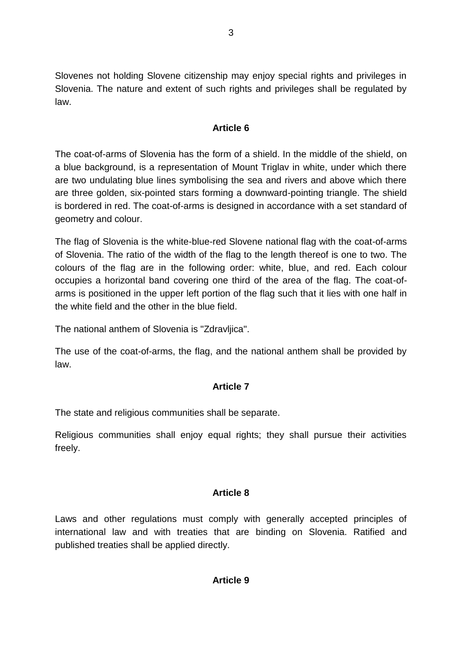Slovenes not holding Slovene citizenship may enjoy special rights and privileges in Slovenia. The nature and extent of such rights and privileges shall be regulated by law.

# **Article 6**

The coat-of-arms of Slovenia has the form of a shield. In the middle of the shield, on a blue background, is a representation of Mount Triglav in white, under which there are two undulating blue lines symbolising the sea and rivers and above which there are three golden, six-pointed stars forming a downward-pointing triangle. The shield is bordered in red. The coat-of-arms is designed in accordance with a set standard of geometry and colour.

The flag of Slovenia is the white-blue-red Slovene national flag with the coat-of-arms of Slovenia. The ratio of the width of the flag to the length thereof is one to two. The colours of the flag are in the following order: white, blue, and red. Each colour occupies a horizontal band covering one third of the area of the flag. The coat-ofarms is positioned in the upper left portion of the flag such that it lies with one half in the white field and the other in the blue field.

The national anthem of Slovenia is "Zdravljica".

The use of the coat-of-arms, the flag, and the national anthem shall be provided by law.

# **Article 7**

The state and religious communities shall be separate.

Religious communities shall enjoy equal rights; they shall pursue their activities freely.

# **Article 8**

Laws and other regulations must comply with generally accepted principles of international law and with treaties that are binding on Slovenia. Ratified and published treaties shall be applied directly.

### **Article 9**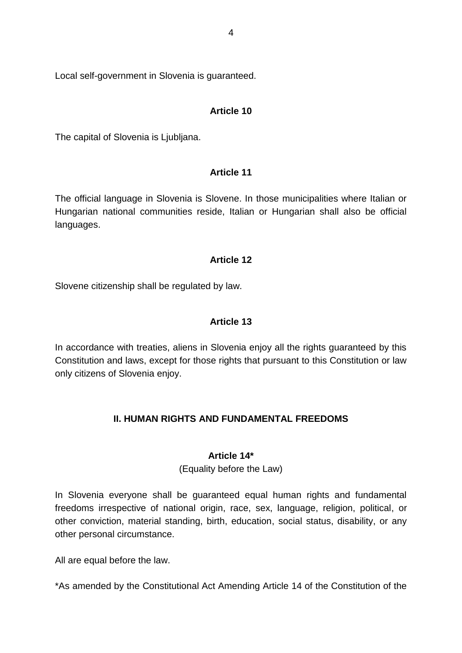Local self-government in Slovenia is guaranteed.

### **Article 10**

The capital of Slovenia is Ljubljana.

### **Article 11**

The official language in Slovenia is Slovene. In those municipalities where Italian or Hungarian national communities reside, Italian or Hungarian shall also be official languages.

### **Article 12**

Slovene citizenship shall be regulated by law.

### **Article 13**

In accordance with treaties, aliens in Slovenia enjoy all the rights guaranteed by this Constitution and laws, except for those rights that pursuant to this Constitution or law only citizens of Slovenia enjoy.

### **II. HUMAN RIGHTS AND FUNDAMENTAL FREEDOMS**

#### **Article 14\***

(Equality before the Law)

In Slovenia everyone shall be guaranteed equal human rights and fundamental freedoms irrespective of national origin, race, sex, language, religion, political, or other conviction, material standing, birth, education, social status, disability, or any other personal circumstance.

All are equal before the law.

\*As amended by the Constitutional Act Amending Article 14 of the Constitution of the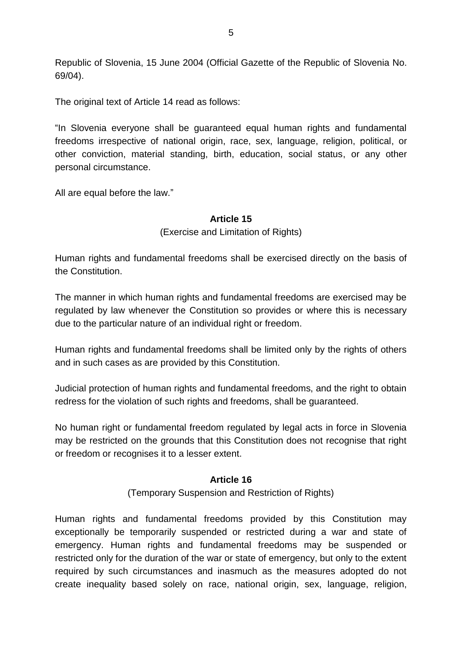Republic of Slovenia, 15 June 2004 (Official Gazette of the Republic of Slovenia No. 69/04).

The original text of Article 14 read as follows:

"In Slovenia everyone shall be guaranteed equal human rights and fundamental freedoms irrespective of national origin, race, sex, language, religion, political, or other conviction, material standing, birth, education, social status, or any other personal circumstance.

All are equal before the law."

#### **Article 15**

(Exercise and Limitation of Rights)

Human rights and fundamental freedoms shall be exercised directly on the basis of the Constitution.

The manner in which human rights and fundamental freedoms are exercised may be regulated by law whenever the Constitution so provides or where this is necessary due to the particular nature of an individual right or freedom.

Human rights and fundamental freedoms shall be limited only by the rights of others and in such cases as are provided by this Constitution.

Judicial protection of human rights and fundamental freedoms, and the right to obtain redress for the violation of such rights and freedoms, shall be guaranteed.

No human right or fundamental freedom regulated by legal acts in force in Slovenia may be restricted on the grounds that this Constitution does not recognise that right or freedom or recognises it to a lesser extent.

### **Article 16**

(Temporary Suspension and Restriction of Rights)

Human rights and fundamental freedoms provided by this Constitution may exceptionally be temporarily suspended or restricted during a war and state of emergency. Human rights and fundamental freedoms may be suspended or restricted only for the duration of the war or state of emergency, but only to the extent required by such circumstances and inasmuch as the measures adopted do not create inequality based solely on race, national origin, sex, language, religion,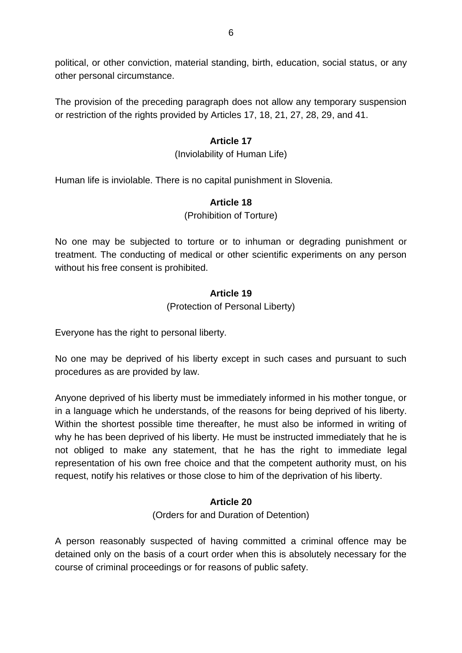political, or other conviction, material standing, birth, education, social status, or any other personal circumstance.

The provision of the preceding paragraph does not allow any temporary suspension or restriction of the rights provided by Articles 17, 18, 21, 27, 28, 29, and 41.

### **Article 17**

### (Inviolability of Human Life)

Human life is inviolable. There is no capital punishment in Slovenia.

### **Article 18**

### (Prohibition of Torture)

No one may be subjected to torture or to inhuman or degrading punishment or treatment. The conducting of medical or other scientific experiments on any person without his free consent is prohibited.

### **Article 19**

(Protection of Personal Liberty)

Everyone has the right to personal liberty.

No one may be deprived of his liberty except in such cases and pursuant to such procedures as are provided by law.

Anyone deprived of his liberty must be immediately informed in his mother tongue, or in a language which he understands, of the reasons for being deprived of his liberty. Within the shortest possible time thereafter, he must also be informed in writing of why he has been deprived of his liberty. He must be instructed immediately that he is not obliged to make any statement, that he has the right to immediate legal representation of his own free choice and that the competent authority must, on his request, notify his relatives or those close to him of the deprivation of his liberty.

### **Article 20**

(Orders for and Duration of Detention)

A person reasonably suspected of having committed a criminal offence may be detained only on the basis of a court order when this is absolutely necessary for the course of criminal proceedings or for reasons of public safety.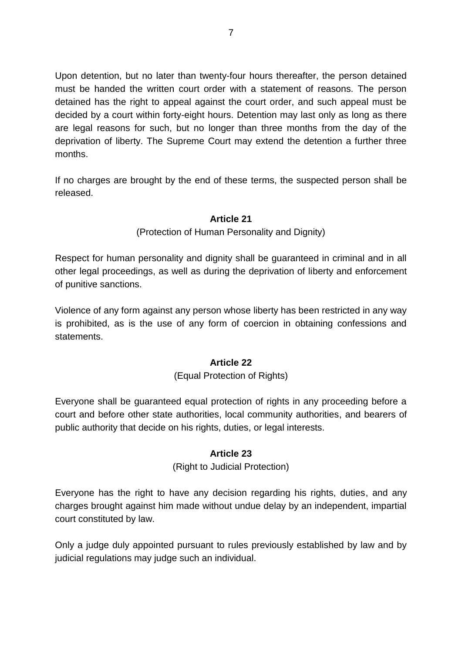Upon detention, but no later than twenty-four hours thereafter, the person detained must be handed the written court order with a statement of reasons. The person detained has the right to appeal against the court order, and such appeal must be decided by a court within forty-eight hours. Detention may last only as long as there are legal reasons for such, but no longer than three months from the day of the deprivation of liberty. The Supreme Court may extend the detention a further three months.

If no charges are brought by the end of these terms, the suspected person shall be released.

### **Article 21**

# (Protection of Human Personality and Dignity)

Respect for human personality and dignity shall be guaranteed in criminal and in all other legal proceedings, as well as during the deprivation of liberty and enforcement of punitive sanctions.

Violence of any form against any person whose liberty has been restricted in any way is prohibited, as is the use of any form of coercion in obtaining confessions and **statements** 

### **Article 22**

### (Equal Protection of Rights)

Everyone shall be guaranteed equal protection of rights in any proceeding before a court and before other state authorities, local community authorities, and bearers of public authority that decide on his rights, duties, or legal interests.

### **Article 23**

### (Right to Judicial Protection)

Everyone has the right to have any decision regarding his rights, duties, and any charges brought against him made without undue delay by an independent, impartial court constituted by law.

Only a judge duly appointed pursuant to rules previously established by law and by judicial regulations may judge such an individual.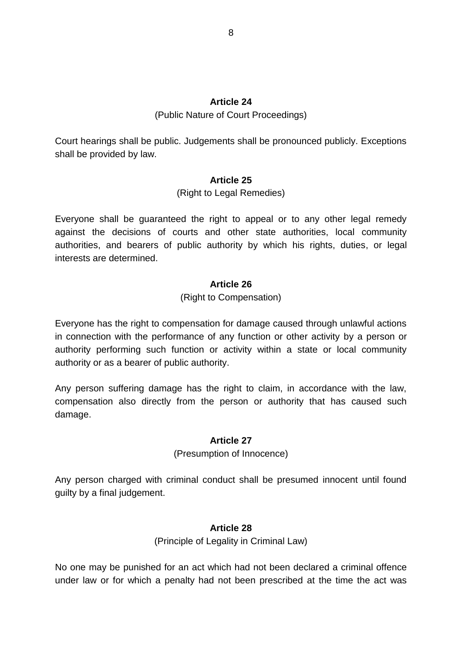### **Article 24**

(Public Nature of Court Proceedings)

Court hearings shall be public. Judgements shall be pronounced publicly. Exceptions shall be provided by law.

### **Article 25**

(Right to Legal Remedies)

Everyone shall be guaranteed the right to appeal or to any other legal remedy against the decisions of courts and other state authorities, local community authorities, and bearers of public authority by which his rights, duties, or legal interests are determined.

### **Article 26**

### (Right to Compensation)

Everyone has the right to compensation for damage caused through unlawful actions in connection with the performance of any function or other activity by a person or authority performing such function or activity within a state or local community authority or as a bearer of public authority.

Any person suffering damage has the right to claim, in accordance with the law, compensation also directly from the person or authority that has caused such damage.

### **Article 27**

(Presumption of Innocence)

Any person charged with criminal conduct shall be presumed innocent until found guilty by a final judgement.

#### **Article 28**

(Principle of Legality in Criminal Law)

No one may be punished for an act which had not been declared a criminal offence under law or for which a penalty had not been prescribed at the time the act was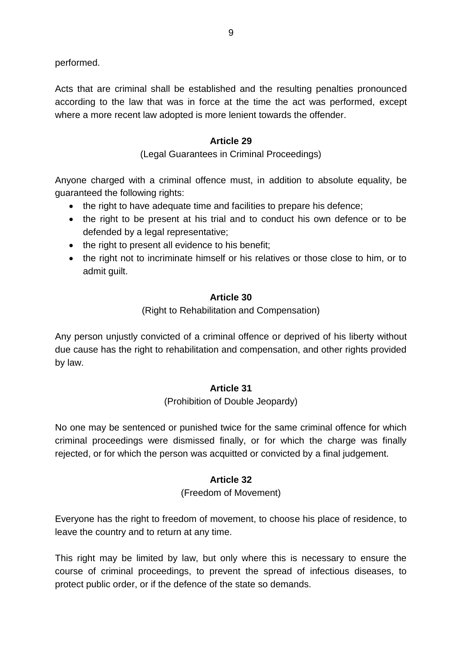performed.

Acts that are criminal shall be established and the resulting penalties pronounced according to the law that was in force at the time the act was performed, except where a more recent law adopted is more lenient towards the offender.

### **Article 29**

### (Legal Guarantees in Criminal Proceedings)

Anyone charged with a criminal offence must, in addition to absolute equality, be guaranteed the following rights:

- the right to have adequate time and facilities to prepare his defence;
- the right to be present at his trial and to conduct his own defence or to be defended by a legal representative;
- $\bullet$  the right to present all evidence to his benefit;
- the right not to incriminate himself or his relatives or those close to him, or to admit guilt.

### **Article 30**

### (Right to Rehabilitation and Compensation)

Any person unjustly convicted of a criminal offence or deprived of his liberty without due cause has the right to rehabilitation and compensation, and other rights provided by law.

#### **Article 31**

(Prohibition of Double Jeopardy)

No one may be sentenced or punished twice for the same criminal offence for which criminal proceedings were dismissed finally, or for which the charge was finally rejected, or for which the person was acquitted or convicted by a final judgement.

### **Article 32**

(Freedom of Movement)

Everyone has the right to freedom of movement, to choose his place of residence, to leave the country and to return at any time.

This right may be limited by law, but only where this is necessary to ensure the course of criminal proceedings, to prevent the spread of infectious diseases, to protect public order, or if the defence of the state so demands.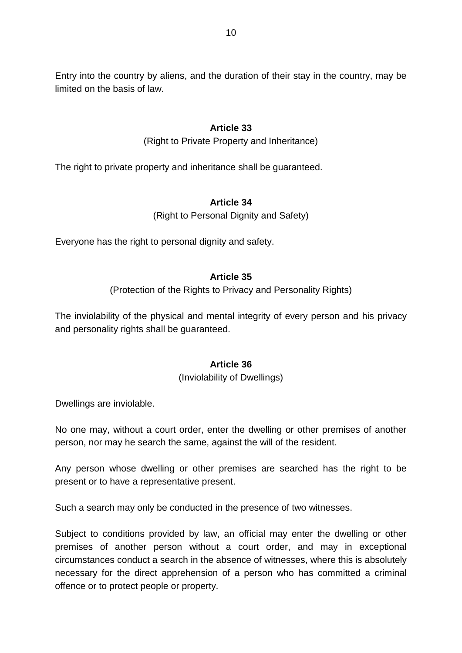Entry into the country by aliens, and the duration of their stay in the country, may be limited on the basis of law.

### **Article 33**

(Right to Private Property and Inheritance)

The right to private property and inheritance shall be guaranteed.

#### **Article 34**

(Right to Personal Dignity and Safety)

Everyone has the right to personal dignity and safety.

### **Article 35**

(Protection of the Rights to Privacy and Personality Rights)

The inviolability of the physical and mental integrity of every person and his privacy and personality rights shall be guaranteed.

### **Article 36**

(Inviolability of Dwellings)

Dwellings are inviolable.

No one may, without a court order, enter the dwelling or other premises of another person, nor may he search the same, against the will of the resident.

Any person whose dwelling or other premises are searched has the right to be present or to have a representative present.

Such a search may only be conducted in the presence of two witnesses.

Subject to conditions provided by law, an official may enter the dwelling or other premises of another person without a court order, and may in exceptional circumstances conduct a search in the absence of witnesses, where this is absolutely necessary for the direct apprehension of a person who has committed a criminal offence or to protect people or property.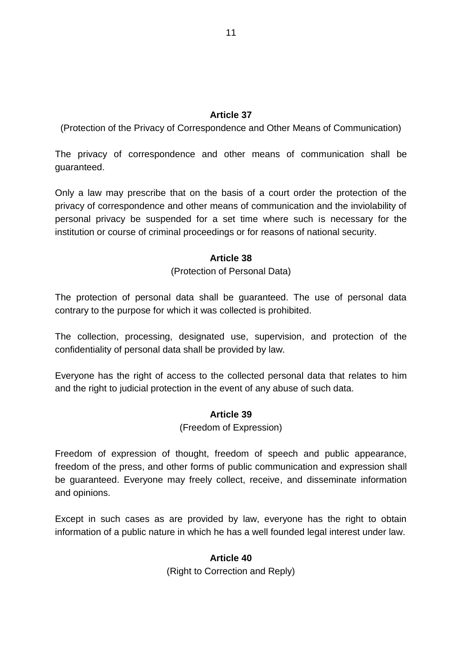### **Article 37**

(Protection of the Privacy of Correspondence and Other Means of Communication)

The privacy of correspondence and other means of communication shall be guaranteed.

Only a law may prescribe that on the basis of a court order the protection of the privacy of correspondence and other means of communication and the inviolability of personal privacy be suspended for a set time where such is necessary for the institution or course of criminal proceedings or for reasons of national security.

### **Article 38**

(Protection of Personal Data)

The protection of personal data shall be guaranteed. The use of personal data contrary to the purpose for which it was collected is prohibited.

The collection, processing, designated use, supervision, and protection of the confidentiality of personal data shall be provided by law.

Everyone has the right of access to the collected personal data that relates to him and the right to judicial protection in the event of any abuse of such data.

#### **Article 39**

(Freedom of Expression)

Freedom of expression of thought, freedom of speech and public appearance, freedom of the press, and other forms of public communication and expression shall be guaranteed. Everyone may freely collect, receive, and disseminate information and opinions.

Except in such cases as are provided by law, everyone has the right to obtain information of a public nature in which he has a well founded legal interest under law.

#### **Article 40**

(Right to Correction and Reply)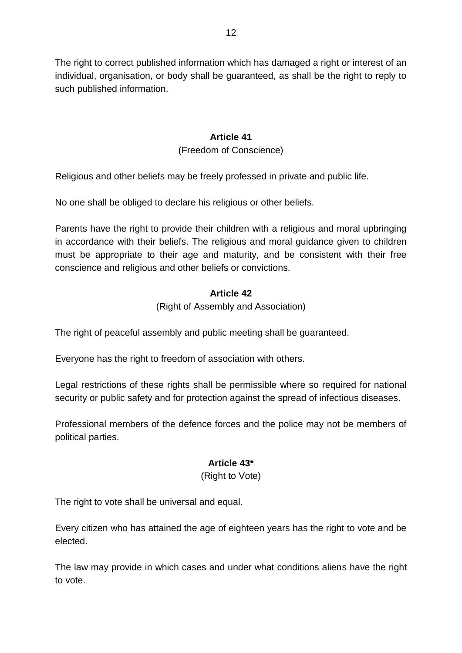The right to correct published information which has damaged a right or interest of an individual, organisation, or body shall be guaranteed, as shall be the right to reply to such published information.

### **Article 41**

### (Freedom of Conscience)

Religious and other beliefs may be freely professed in private and public life.

No one shall be obliged to declare his religious or other beliefs.

Parents have the right to provide their children with a religious and moral upbringing in accordance with their beliefs. The religious and moral guidance given to children must be appropriate to their age and maturity, and be consistent with their free conscience and religious and other beliefs or convictions.

### **Article 42**

# (Right of Assembly and Association)

The right of peaceful assembly and public meeting shall be guaranteed.

Everyone has the right to freedom of association with others.

Legal restrictions of these rights shall be permissible where so required for national security or public safety and for protection against the spread of infectious diseases.

Professional members of the defence forces and the police may not be members of political parties.

# **Article 43\***

### (Right to Vote)

The right to vote shall be universal and equal.

Every citizen who has attained the age of eighteen years has the right to vote and be elected.

The law may provide in which cases and under what conditions aliens have the right to vote.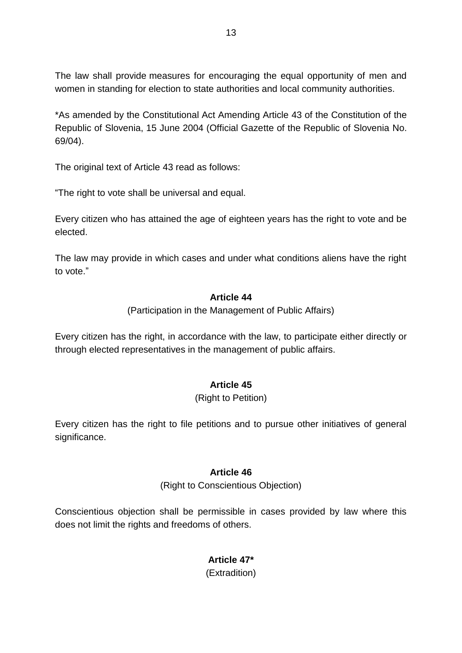The law shall provide measures for encouraging the equal opportunity of men and women in standing for election to state authorities and local community authorities.

\*As amended by the Constitutional Act Amending Article 43 of the Constitution of the Republic of Slovenia, 15 June 2004 (Official Gazette of the Republic of Slovenia No. 69/04).

The original text of Article 43 read as follows:

"The right to vote shall be universal and equal.

Every citizen who has attained the age of eighteen years has the right to vote and be elected.

The law may provide in which cases and under what conditions aliens have the right to vote."

# **Article 44**

(Participation in the Management of Public Affairs)

Every citizen has the right, in accordance with the law, to participate either directly or through elected representatives in the management of public affairs.

# **Article 45**

### (Right to Petition)

Every citizen has the right to file petitions and to pursue other initiatives of general significance.

### **Article 46**

(Right to Conscientious Objection)

Conscientious objection shall be permissible in cases provided by law where this does not limit the rights and freedoms of others.

> **Article 47\*** (Extradition)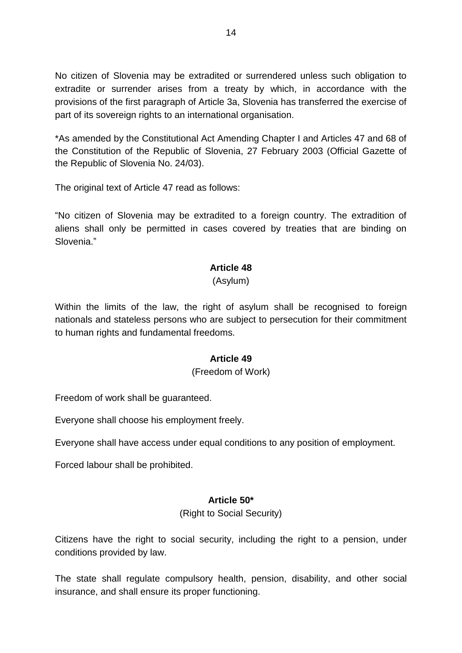No citizen of Slovenia may be extradited or surrendered unless such obligation to extradite or surrender arises from a treaty by which, in accordance with the provisions of the first paragraph of Article 3a, Slovenia has transferred the exercise of part of its sovereign rights to an international organisation.

\*As amended by the Constitutional Act Amending Chapter I and Articles 47 and 68 of the Constitution of the Republic of Slovenia, 27 February 2003 (Official Gazette of the Republic of Slovenia No. 24/03).

The original text of Article 47 read as follows:

"No citizen of Slovenia may be extradited to a foreign country. The extradition of aliens shall only be permitted in cases covered by treaties that are binding on Slovenia."

### **Article 48**

### (Asylum)

Within the limits of the law, the right of asylum shall be recognised to foreign nationals and stateless persons who are subject to persecution for their commitment to human rights and fundamental freedoms.

#### **Article 49**

#### (Freedom of Work)

Freedom of work shall be guaranteed.

Everyone shall choose his employment freely.

Everyone shall have access under equal conditions to any position of employment.

Forced labour shall be prohibited.

#### **Article 50\***

(Right to Social Security)

Citizens have the right to social security, including the right to a pension, under conditions provided by law.

The state shall regulate compulsory health, pension, disability, and other social insurance, and shall ensure its proper functioning.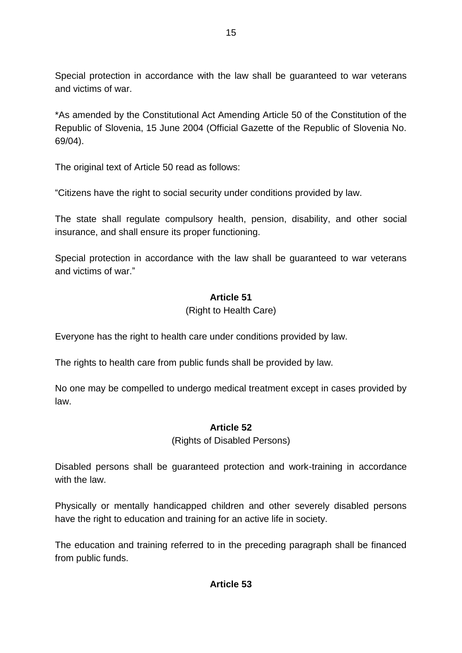Special protection in accordance with the law shall be guaranteed to war veterans and victims of war.

\*As amended by the Constitutional Act Amending Article 50 of the Constitution of the Republic of Slovenia, 15 June 2004 (Official Gazette of the Republic of Slovenia No. 69/04).

The original text of Article 50 read as follows:

"Citizens have the right to social security under conditions provided by law.

The state shall regulate compulsory health, pension, disability, and other social insurance, and shall ensure its proper functioning.

Special protection in accordance with the law shall be guaranteed to war veterans and victims of war."

### **Article 51**

# (Right to Health Care)

Everyone has the right to health care under conditions provided by law.

The rights to health care from public funds shall be provided by law.

No one may be compelled to undergo medical treatment except in cases provided by law.

### **Article 52**

(Rights of Disabled Persons)

Disabled persons shall be guaranteed protection and work-training in accordance with the law.

Physically or mentally handicapped children and other severely disabled persons have the right to education and training for an active life in society.

The education and training referred to in the preceding paragraph shall be financed from public funds.

# **Article 53**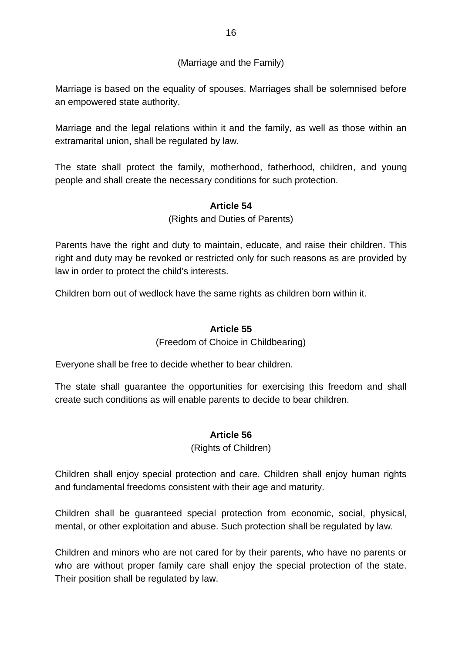### (Marriage and the Family)

Marriage is based on the equality of spouses. Marriages shall be solemnised before an empowered state authority.

Marriage and the legal relations within it and the family, as well as those within an extramarital union, shall be regulated by law.

The state shall protect the family, motherhood, fatherhood, children, and young people and shall create the necessary conditions for such protection.

### **Article 54**

(Rights and Duties of Parents)

Parents have the right and duty to maintain, educate, and raise their children. This right and duty may be revoked or restricted only for such reasons as are provided by law in order to protect the child's interests.

Children born out of wedlock have the same rights as children born within it.

### **Article 55**

(Freedom of Choice in Childbearing)

Everyone shall be free to decide whether to bear children.

The state shall guarantee the opportunities for exercising this freedom and shall create such conditions as will enable parents to decide to bear children.

### **Article 56**

(Rights of Children)

Children shall enjoy special protection and care. Children shall enjoy human rights and fundamental freedoms consistent with their age and maturity.

Children shall be guaranteed special protection from economic, social, physical, mental, or other exploitation and abuse. Such protection shall be regulated by law.

Children and minors who are not cared for by their parents, who have no parents or who are without proper family care shall enjoy the special protection of the state. Their position shall be regulated by law.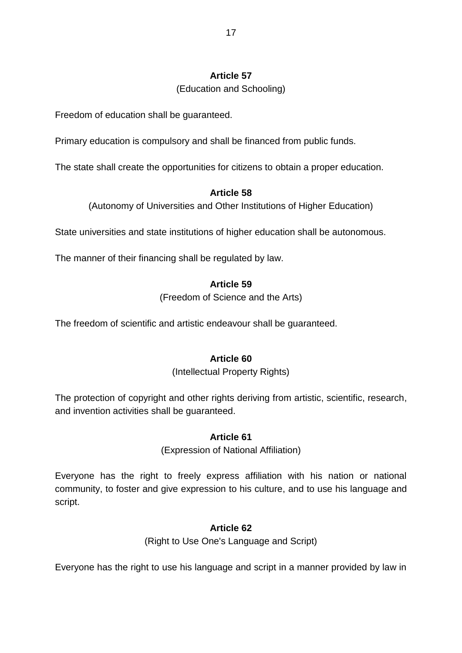#### **Article 57**

(Education and Schooling)

Freedom of education shall be guaranteed.

Primary education is compulsory and shall be financed from public funds.

The state shall create the opportunities for citizens to obtain a proper education.

### **Article 58**

(Autonomy of Universities and Other Institutions of Higher Education)

State universities and state institutions of higher education shall be autonomous.

The manner of their financing shall be regulated by law.

### **Article 59**

(Freedom of Science and the Arts)

The freedom of scientific and artistic endeavour shall be guaranteed.

### **Article 60**

(Intellectual Property Rights)

The protection of copyright and other rights deriving from artistic, scientific, research, and invention activities shall be guaranteed.

### **Article 61**

(Expression of National Affiliation)

Everyone has the right to freely express affiliation with his nation or national community, to foster and give expression to his culture, and to use his language and script.

### **Article 62**

(Right to Use One's Language and Script)

Everyone has the right to use his language and script in a manner provided by law in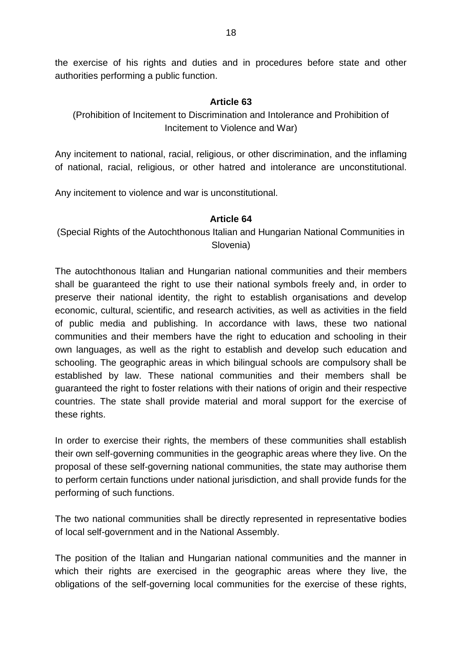the exercise of his rights and duties and in procedures before state and other authorities performing a public function.

#### **Article 63**

(Prohibition of Incitement to Discrimination and Intolerance and Prohibition of Incitement to Violence and War)

Any incitement to national, racial, religious, or other discrimination, and the inflaming of national, racial, religious, or other hatred and intolerance are unconstitutional.

Any incitement to violence and war is unconstitutional.

### **Article 64**

(Special Rights of the Autochthonous Italian and Hungarian National Communities in Slovenia)

The autochthonous Italian and Hungarian national communities and their members shall be guaranteed the right to use their national symbols freely and, in order to preserve their national identity, the right to establish organisations and develop economic, cultural, scientific, and research activities, as well as activities in the field of public media and publishing. In accordance with laws, these two national communities and their members have the right to education and schooling in their own languages, as well as the right to establish and develop such education and schooling. The geographic areas in which bilingual schools are compulsory shall be established by law. These national communities and their members shall be guaranteed the right to foster relations with their nations of origin and their respective countries. The state shall provide material and moral support for the exercise of these rights.

In order to exercise their rights, the members of these communities shall establish their own self-governing communities in the geographic areas where they live. On the proposal of these self-governing national communities, the state may authorise them to perform certain functions under national jurisdiction, and shall provide funds for the performing of such functions.

The two national communities shall be directly represented in representative bodies of local self-government and in the National Assembly.

The position of the Italian and Hungarian national communities and the manner in which their rights are exercised in the geographic areas where they live, the obligations of the self-governing local communities for the exercise of these rights,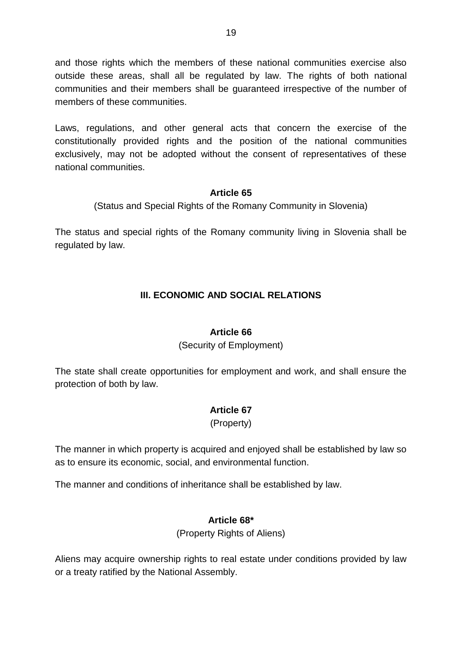and those rights which the members of these national communities exercise also outside these areas, shall all be regulated by law. The rights of both national communities and their members shall be guaranteed irrespective of the number of members of these communities.

Laws, regulations, and other general acts that concern the exercise of the constitutionally provided rights and the position of the national communities exclusively, may not be adopted without the consent of representatives of these national communities.

#### **Article 65**

(Status and Special Rights of the Romany Community in Slovenia)

The status and special rights of the Romany community living in Slovenia shall be regulated by law.

### **III. ECONOMIC AND SOCIAL RELATIONS**

#### **Article 66**

(Security of Employment)

The state shall create opportunities for employment and work, and shall ensure the protection of both by law.

#### **Article 67**

(Property)

The manner in which property is acquired and enjoyed shall be established by law so as to ensure its economic, social, and environmental function.

The manner and conditions of inheritance shall be established by law.

#### **Article 68\***

(Property Rights of Aliens)

Aliens may acquire ownership rights to real estate under conditions provided by law or a treaty ratified by the National Assembly.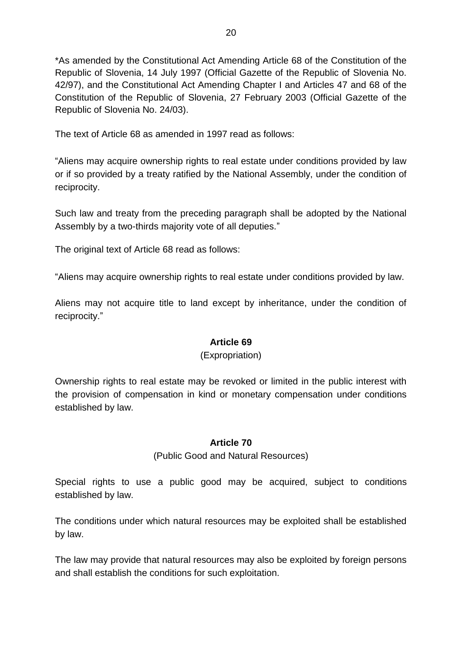\*As amended by the Constitutional Act Amending Article 68 of the Constitution of the Republic of Slovenia, 14 July 1997 (Official Gazette of the Republic of Slovenia No. 42/97), and the Constitutional Act Amending Chapter I and Articles 47 and 68 of the Constitution of the Republic of Slovenia, 27 February 2003 (Official Gazette of the Republic of Slovenia No. 24/03).

The text of Article 68 as amended in 1997 read as follows:

"Aliens may acquire ownership rights to real estate under conditions provided by law or if so provided by a treaty ratified by the National Assembly, under the condition of reciprocity.

Such law and treaty from the preceding paragraph shall be adopted by the National Assembly by a two-thirds majority vote of all deputies."

The original text of Article 68 read as follows:

"Aliens may acquire ownership rights to real estate under conditions provided by law.

Aliens may not acquire title to land except by inheritance, under the condition of reciprocity."

### **Article 69**

### (Expropriation)

Ownership rights to real estate may be revoked or limited in the public interest with the provision of compensation in kind or monetary compensation under conditions established by law.

### **Article 70**

(Public Good and Natural Resources)

Special rights to use a public good may be acquired, subject to conditions established by law.

The conditions under which natural resources may be exploited shall be established by law.

The law may provide that natural resources may also be exploited by foreign persons and shall establish the conditions for such exploitation.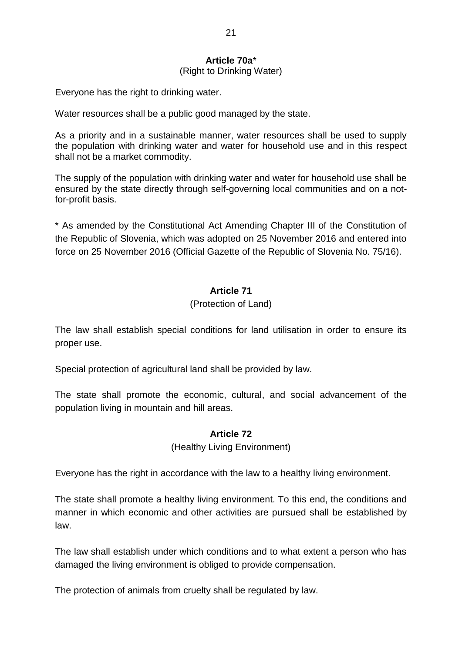# **Article 70a**\*

#### (Right to Drinking Water)

Everyone has the right to drinking water.

Water resources shall be a public good managed by the state.

As a priority and in a sustainable manner, water resources shall be used to supply the population with drinking water and water for household use and in this respect shall not be a market commodity.

The supply of the population with drinking water and water for household use shall be ensured by the state directly through self-governing local communities and on a notfor-profit basis.

\* As amended by the Constitutional Act Amending Chapter III of the Constitution of the Republic of Slovenia, which was adopted on 25 November 2016 and entered into force on 25 November 2016 (Official Gazette of the Republic of Slovenia No. 75/16).

### **Article 71**

### (Protection of Land)

The law shall establish special conditions for land utilisation in order to ensure its proper use.

Special protection of agricultural land shall be provided by law.

The state shall promote the economic, cultural, and social advancement of the population living in mountain and hill areas.

#### **Article 72**

(Healthy Living Environment)

Everyone has the right in accordance with the law to a healthy living environment.

The state shall promote a healthy living environment. To this end, the conditions and manner in which economic and other activities are pursued shall be established by law.

The law shall establish under which conditions and to what extent a person who has damaged the living environment is obliged to provide compensation.

The protection of animals from cruelty shall be regulated by law.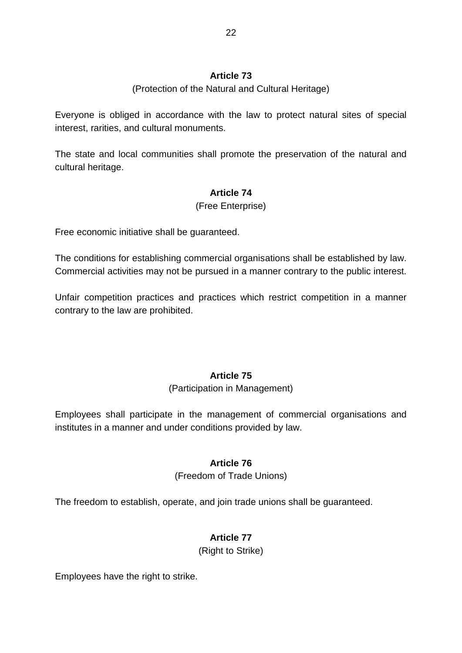(Protection of the Natural and Cultural Heritage)

Everyone is obliged in accordance with the law to protect natural sites of special interest, rarities, and cultural monuments.

The state and local communities shall promote the preservation of the natural and cultural heritage.

# **Article 74**

(Free Enterprise)

Free economic initiative shall be guaranteed.

The conditions for establishing commercial organisations shall be established by law. Commercial activities may not be pursued in a manner contrary to the public interest.

Unfair competition practices and practices which restrict competition in a manner contrary to the law are prohibited.

# **Article 75**

# (Participation in Management)

Employees shall participate in the management of commercial organisations and institutes in a manner and under conditions provided by law.

# **Article 76**

### (Freedom of Trade Unions)

The freedom to establish, operate, and join trade unions shall be guaranteed.

# **Article 77**

(Right to Strike)

Employees have the right to strike.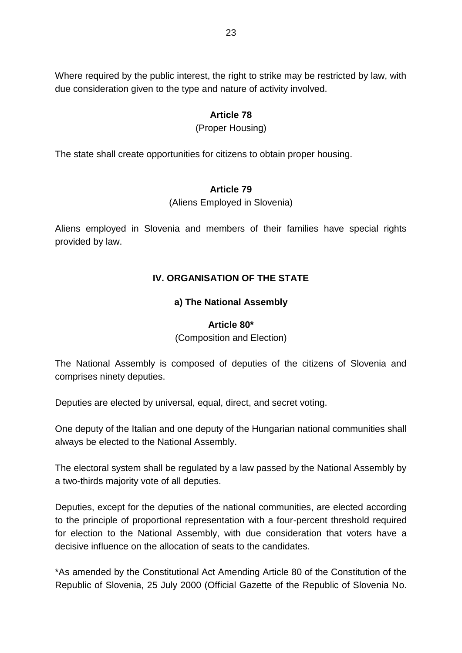Where required by the public interest, the right to strike may be restricted by law, with due consideration given to the type and nature of activity involved.

### **Article 78**

### (Proper Housing)

The state shall create opportunities for citizens to obtain proper housing.

### **Article 79**

(Aliens Employed in Slovenia)

Aliens employed in Slovenia and members of their families have special rights provided by law.

# **IV. ORGANISATION OF THE STATE**

### **a) The National Assembly**

### **Article 80\***

(Composition and Election)

The National Assembly is composed of deputies of the citizens of Slovenia and comprises ninety deputies.

Deputies are elected by universal, equal, direct, and secret voting.

One deputy of the Italian and one deputy of the Hungarian national communities shall always be elected to the National Assembly.

The electoral system shall be regulated by a law passed by the National Assembly by a two-thirds majority vote of all deputies.

Deputies, except for the deputies of the national communities, are elected according to the principle of proportional representation with a four-percent threshold required for election to the National Assembly, with due consideration that voters have a decisive influence on the allocation of seats to the candidates.

\*As amended by the Constitutional Act Amending Article 80 of the Constitution of the Republic of Slovenia, 25 July 2000 (Official Gazette of the Republic of Slovenia No.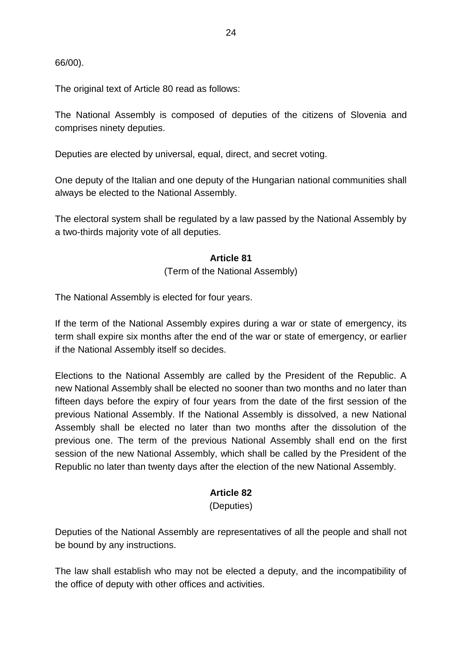66/00).

The original text of Article 80 read as follows:

The National Assembly is composed of deputies of the citizens of Slovenia and comprises ninety deputies.

Deputies are elected by universal, equal, direct, and secret voting.

One deputy of the Italian and one deputy of the Hungarian national communities shall always be elected to the National Assembly.

The electoral system shall be regulated by a law passed by the National Assembly by a two-thirds majority vote of all deputies.

### **Article 81**

(Term of the National Assembly)

The National Assembly is elected for four years.

If the term of the National Assembly expires during a war or state of emergency, its term shall expire six months after the end of the war or state of emergency, or earlier if the National Assembly itself so decides.

Elections to the National Assembly are called by the President of the Republic. A new National Assembly shall be elected no sooner than two months and no later than fifteen days before the expiry of four years from the date of the first session of the previous National Assembly. If the National Assembly is dissolved, a new National Assembly shall be elected no later than two months after the dissolution of the previous one. The term of the previous National Assembly shall end on the first session of the new National Assembly, which shall be called by the President of the Republic no later than twenty days after the election of the new National Assembly.

# **Article 82**

(Deputies)

Deputies of the National Assembly are representatives of all the people and shall not be bound by any instructions.

The law shall establish who may not be elected a deputy, and the incompatibility of the office of deputy with other offices and activities.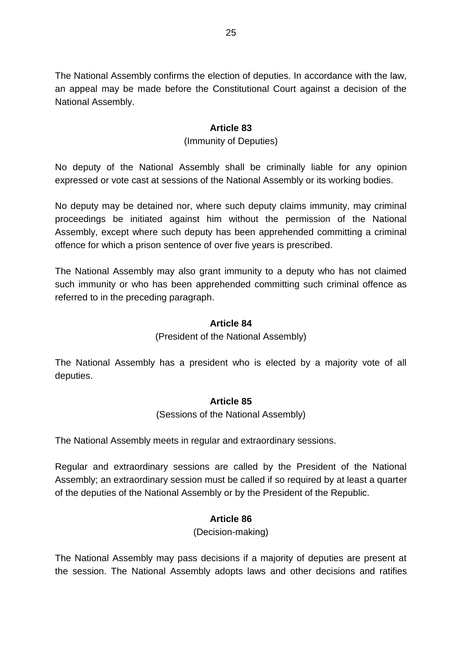The National Assembly confirms the election of deputies. In accordance with the law, an appeal may be made before the Constitutional Court against a decision of the National Assembly.

### **Article 83**

(Immunity of Deputies)

No deputy of the National Assembly shall be criminally liable for any opinion expressed or vote cast at sessions of the National Assembly or its working bodies.

No deputy may be detained nor, where such deputy claims immunity, may criminal proceedings be initiated against him without the permission of the National Assembly, except where such deputy has been apprehended committing a criminal offence for which a prison sentence of over five years is prescribed.

The National Assembly may also grant immunity to a deputy who has not claimed such immunity or who has been apprehended committing such criminal offence as referred to in the preceding paragraph.

### **Article 84**

(President of the National Assembly)

The National Assembly has a president who is elected by a majority vote of all deputies.

### **Article 85**

(Sessions of the National Assembly)

The National Assembly meets in regular and extraordinary sessions.

Regular and extraordinary sessions are called by the President of the National Assembly; an extraordinary session must be called if so required by at least a quarter of the deputies of the National Assembly or by the President of the Republic.

### **Article 86**

(Decision-making)

The National Assembly may pass decisions if a majority of deputies are present at the session. The National Assembly adopts laws and other decisions and ratifies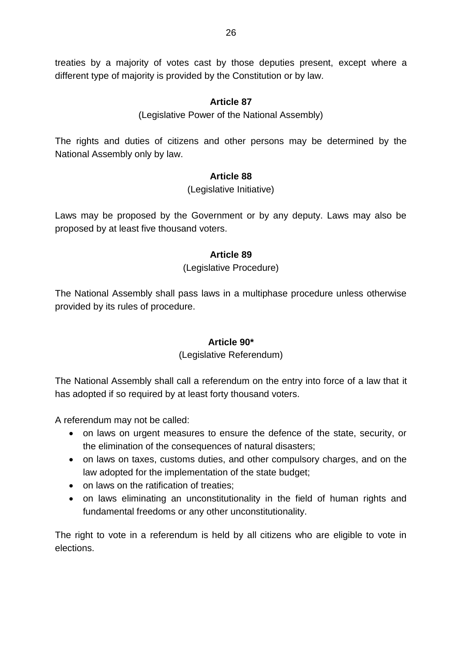treaties by a majority of votes cast by those deputies present, except where a different type of majority is provided by the Constitution or by law.

### **Article 87**

(Legislative Power of the National Assembly)

The rights and duties of citizens and other persons may be determined by the National Assembly only by law.

### **Article 88**

(Legislative Initiative)

Laws may be proposed by the Government or by any deputy. Laws may also be proposed by at least five thousand voters.

### **Article 89**

(Legislative Procedure)

The National Assembly shall pass laws in a multiphase procedure unless otherwise provided by its rules of procedure.

#### **Article 90\***

### (Legislative Referendum)

The National Assembly shall call a referendum on the entry into force of a law that it has adopted if so required by at least forty thousand voters.

A referendum may not be called:

- on laws on urgent measures to ensure the defence of the state, security, or the elimination of the consequences of natural disasters;
- on laws on taxes, customs duties, and other compulsory charges, and on the law adopted for the implementation of the state budget;
- on laws on the ratification of treaties:
- on laws eliminating an unconstitutionality in the field of human rights and fundamental freedoms or any other unconstitutionality.

The right to vote in a referendum is held by all citizens who are eligible to vote in elections.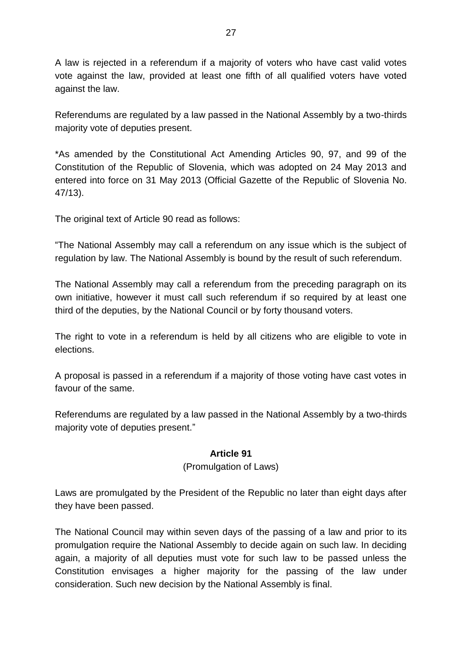A law is rejected in a referendum if a majority of voters who have cast valid votes vote against the law, provided at least one fifth of all qualified voters have voted against the law.

Referendums are regulated by a law passed in the National Assembly by a two-thirds majority vote of deputies present.

\*As amended by the Constitutional Act Amending Articles 90, 97, and 99 of the Constitution of the Republic of Slovenia, which was adopted on 24 May 2013 and entered into force on 31 May 2013 (Official Gazette of the Republic of Slovenia No. 47/13).

The original text of Article 90 read as follows:

"The National Assembly may call a referendum on any issue which is the subject of regulation by law. The National Assembly is bound by the result of such referendum.

The National Assembly may call a referendum from the preceding paragraph on its own initiative, however it must call such referendum if so required by at least one third of the deputies, by the National Council or by forty thousand voters.

The right to vote in a referendum is held by all citizens who are eligible to vote in elections.

A proposal is passed in a referendum if a majority of those voting have cast votes in favour of the same.

Referendums are regulated by a law passed in the National Assembly by a two-thirds majority vote of deputies present."

#### **Article 91**

#### (Promulgation of Laws)

Laws are promulgated by the President of the Republic no later than eight days after they have been passed.

The National Council may within seven days of the passing of a law and prior to its promulgation require the National Assembly to decide again on such law. In deciding again, a majority of all deputies must vote for such law to be passed unless the Constitution envisages a higher majority for the passing of the law under consideration. Such new decision by the National Assembly is final.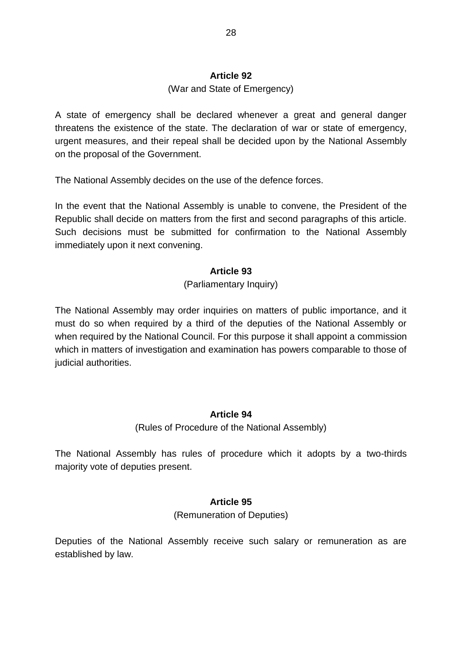#### **Article 92**

(War and State of Emergency)

A state of emergency shall be declared whenever a great and general danger threatens the existence of the state. The declaration of war or state of emergency, urgent measures, and their repeal shall be decided upon by the National Assembly on the proposal of the Government.

The National Assembly decides on the use of the defence forces.

In the event that the National Assembly is unable to convene, the President of the Republic shall decide on matters from the first and second paragraphs of this article. Such decisions must be submitted for confirmation to the National Assembly immediately upon it next convening.

### **Article 93**

(Parliamentary Inquiry)

The National Assembly may order inquiries on matters of public importance, and it must do so when required by a third of the deputies of the National Assembly or when required by the National Council. For this purpose it shall appoint a commission which in matters of investigation and examination has powers comparable to those of judicial authorities.

### **Article 94**

(Rules of Procedure of the National Assembly)

The National Assembly has rules of procedure which it adopts by a two-thirds majority vote of deputies present.

#### **Article 95**

(Remuneration of Deputies)

Deputies of the National Assembly receive such salary or remuneration as are established by law.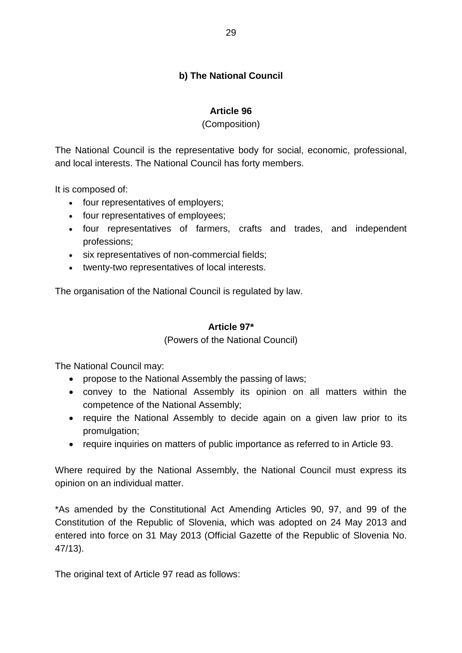# **b) The National Council**

### **Article 96**

(Composition)

The National Council is the representative body for social, economic, professional, and local interests. The National Council has forty members.

It is composed of:

- four representatives of employers;
- four representatives of employees;
- four representatives of farmers, crafts and trades, and independent professions;
- six representatives of non-commercial fields;
- twenty-two representatives of local interests.

The organisation of the National Council is regulated by law.

#### **Article 97\***

(Powers of the National Council)

The National Council may:

- propose to the National Assembly the passing of laws:
- convey to the National Assembly its opinion on all matters within the competence of the National Assembly;
- require the National Assembly to decide again on a given law prior to its promulgation;
- require inquiries on matters of public importance as referred to in Article 93.

Where required by the National Assembly, the National Council must express its opinion on an individual matter.

\*As amended by the Constitutional Act Amending Articles 90, 97, and 99 of the Constitution of the Republic of Slovenia, which was adopted on 24 May 2013 and entered into force on 31 May 2013 (Official Gazette of the Republic of Slovenia No. 47/13).

The original text of Article 97 read as follows: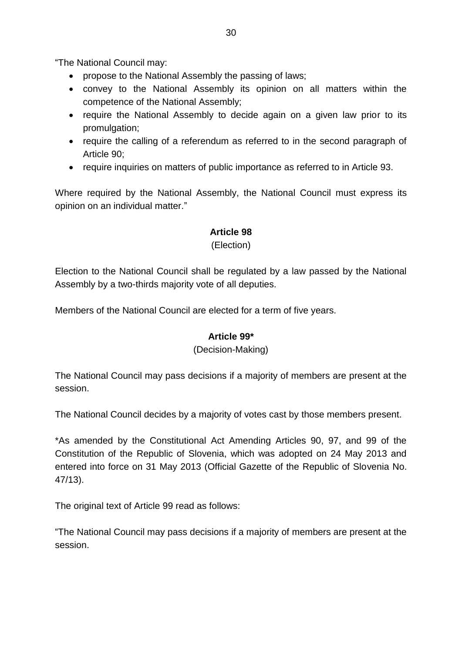"The National Council may:

- propose to the National Assembly the passing of laws;
- convey to the National Assembly its opinion on all matters within the competence of the National Assembly;
- require the National Assembly to decide again on a given law prior to its promulgation;
- require the calling of a referendum as referred to in the second paragraph of Article 90;
- require inquiries on matters of public importance as referred to in Article 93.

Where required by the National Assembly, the National Council must express its opinion on an individual matter."

### **Article 98**

#### (Election)

Election to the National Council shall be regulated by a law passed by the National Assembly by a two-thirds majority vote of all deputies.

Members of the National Council are elected for a term of five years.

### **Article 99\***

#### (Decision-Making)

The National Council may pass decisions if a majority of members are present at the session.

The National Council decides by a majority of votes cast by those members present.

\*As amended by the Constitutional Act Amending Articles 90, 97, and 99 of the Constitution of the Republic of Slovenia, which was adopted on 24 May 2013 and entered into force on 31 May 2013 (Official Gazette of the Republic of Slovenia No. 47/13).

The original text of Article 99 read as follows:

"The National Council may pass decisions if a majority of members are present at the session.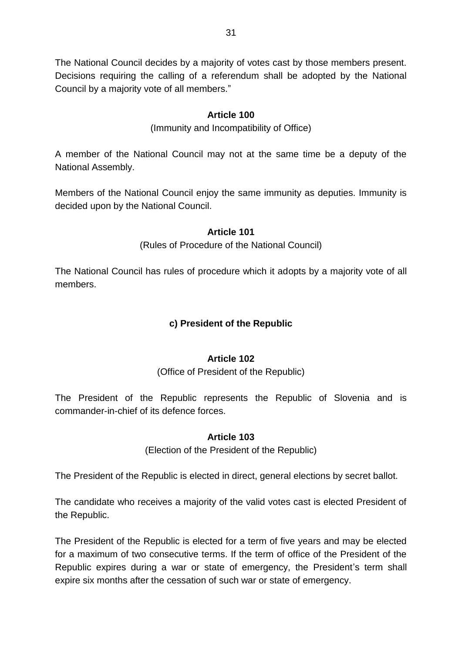The National Council decides by a majority of votes cast by those members present. Decisions requiring the calling of a referendum shall be adopted by the National Council by a majority vote of all members."

### **Article 100**

(Immunity and Incompatibility of Office)

A member of the National Council may not at the same time be a deputy of the National Assembly.

Members of the National Council enjoy the same immunity as deputies. Immunity is decided upon by the National Council.

### **Article 101**

(Rules of Procedure of the National Council)

The National Council has rules of procedure which it adopts by a majority vote of all members.

### **c) President of the Republic**

#### **Article 102**

(Office of President of the Republic)

The President of the Republic represents the Republic of Slovenia and is commander-in-chief of its defence forces.

#### **Article 103**

(Election of the President of the Republic)

The President of the Republic is elected in direct, general elections by secret ballot.

The candidate who receives a majority of the valid votes cast is elected President of the Republic.

The President of the Republic is elected for a term of five years and may be elected for a maximum of two consecutive terms. If the term of office of the President of the Republic expires during a war or state of emergency, the President's term shall expire six months after the cessation of such war or state of emergency.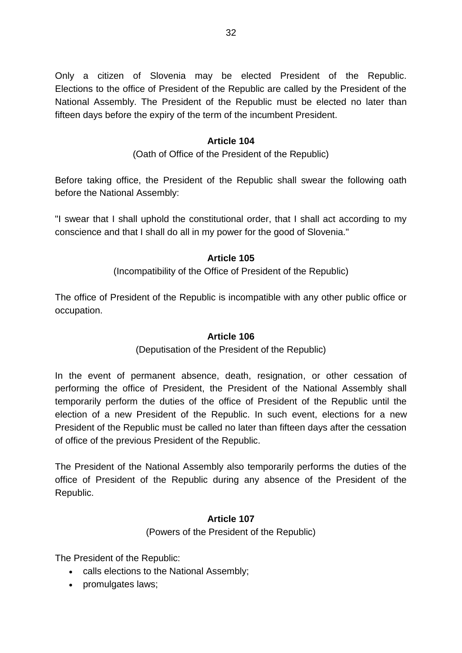Only a citizen of Slovenia may be elected President of the Republic. Elections to the office of President of the Republic are called by the President of the National Assembly. The President of the Republic must be elected no later than fifteen days before the expiry of the term of the incumbent President.

#### **Article 104**

(Oath of Office of the President of the Republic)

Before taking office, the President of the Republic shall swear the following oath before the National Assembly:

"I swear that I shall uphold the constitutional order, that I shall act according to my conscience and that I shall do all in my power for the good of Slovenia."

# **Article 105**

(Incompatibility of the Office of President of the Republic)

The office of President of the Republic is incompatible with any other public office or occupation.

### **Article 106**

### (Deputisation of the President of the Republic)

In the event of permanent absence, death, resignation, or other cessation of performing the office of President, the President of the National Assembly shall temporarily perform the duties of the office of President of the Republic until the election of a new President of the Republic. In such event, elections for a new President of the Republic must be called no later than fifteen days after the cessation of office of the previous President of the Republic.

The President of the National Assembly also temporarily performs the duties of the office of President of the Republic during any absence of the President of the Republic.

### **Article 107**

(Powers of the President of the Republic)

The President of the Republic:

- calls elections to the National Assembly;
- promulgates laws;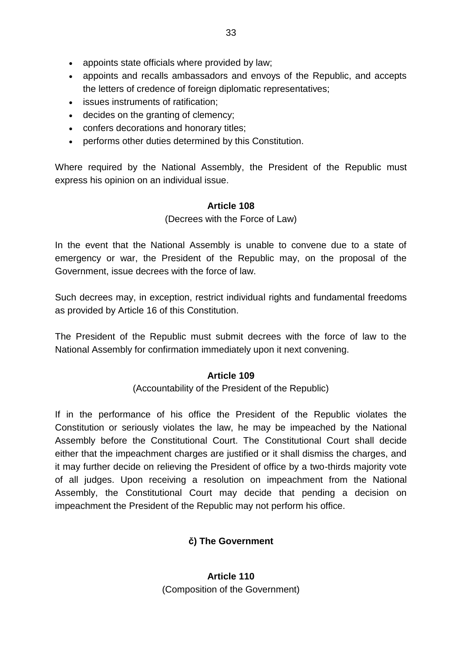- appoints state officials where provided by law;
- appoints and recalls ambassadors and envoys of the Republic, and accepts the letters of credence of foreign diplomatic representatives;
- issues instruments of ratification:
- decides on the granting of clemency;
- confers decorations and honorary titles;
- performs other duties determined by this Constitution.

Where required by the National Assembly, the President of the Republic must express his opinion on an individual issue.

### **Article 108**

(Decrees with the Force of Law)

In the event that the National Assembly is unable to convene due to a state of emergency or war, the President of the Republic may, on the proposal of the Government, issue decrees with the force of law.

Such decrees may, in exception, restrict individual rights and fundamental freedoms as provided by Article 16 of this Constitution.

The President of the Republic must submit decrees with the force of law to the National Assembly for confirmation immediately upon it next convening.

#### **Article 109**

(Accountability of the President of the Republic)

If in the performance of his office the President of the Republic violates the Constitution or seriously violates the law, he may be impeached by the National Assembly before the Constitutional Court. The Constitutional Court shall decide either that the impeachment charges are justified or it shall dismiss the charges, and it may further decide on relieving the President of office by a two-thirds majority vote of all judges. Upon receiving a resolution on impeachment from the National Assembly, the Constitutional Court may decide that pending a decision on impeachment the President of the Republic may not perform his office.

### **č) The Government**

**Article 110** (Composition of the Government)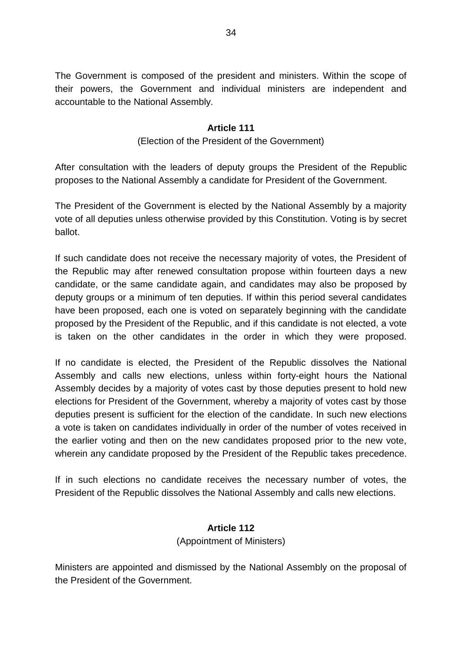The Government is composed of the president and ministers. Within the scope of their powers, the Government and individual ministers are independent and accountable to the National Assembly.

#### **Article 111**

#### (Election of the President of the Government)

After consultation with the leaders of deputy groups the President of the Republic proposes to the National Assembly a candidate for President of the Government.

The President of the Government is elected by the National Assembly by a majority vote of all deputies unless otherwise provided by this Constitution. Voting is by secret ballot.

If such candidate does not receive the necessary majority of votes, the President of the Republic may after renewed consultation propose within fourteen days a new candidate, or the same candidate again, and candidates may also be proposed by deputy groups or a minimum of ten deputies. If within this period several candidates have been proposed, each one is voted on separately beginning with the candidate proposed by the President of the Republic, and if this candidate is not elected, a vote is taken on the other candidates in the order in which they were proposed.

If no candidate is elected, the President of the Republic dissolves the National Assembly and calls new elections, unless within forty-eight hours the National Assembly decides by a majority of votes cast by those deputies present to hold new elections for President of the Government, whereby a majority of votes cast by those deputies present is sufficient for the election of the candidate. In such new elections a vote is taken on candidates individually in order of the number of votes received in the earlier voting and then on the new candidates proposed prior to the new vote, wherein any candidate proposed by the President of the Republic takes precedence.

If in such elections no candidate receives the necessary number of votes, the President of the Republic dissolves the National Assembly and calls new elections.

#### **Article 112**

(Appointment of Ministers)

Ministers are appointed and dismissed by the National Assembly on the proposal of the President of the Government.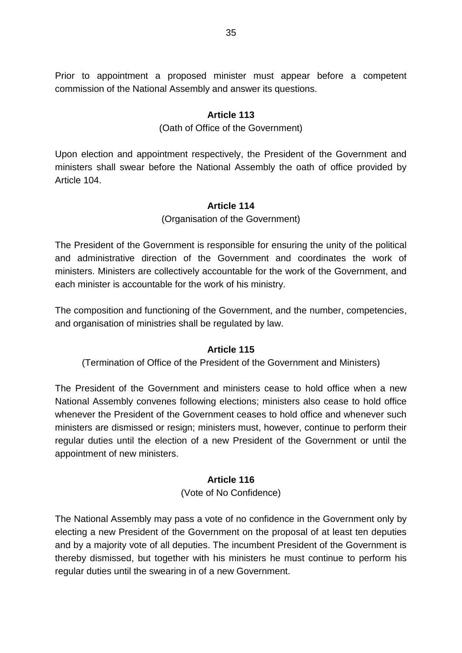Prior to appointment a proposed minister must appear before a competent commission of the National Assembly and answer its questions.

### **Article 113**

### (Oath of Office of the Government)

Upon election and appointment respectively, the President of the Government and ministers shall swear before the National Assembly the oath of office provided by Article 104.

### **Article 114**

### (Organisation of the Government)

The President of the Government is responsible for ensuring the unity of the political and administrative direction of the Government and coordinates the work of ministers. Ministers are collectively accountable for the work of the Government, and each minister is accountable for the work of his ministry.

The composition and functioning of the Government, and the number, competencies, and organisation of ministries shall be regulated by law.

### **Article 115**

(Termination of Office of the President of the Government and Ministers)

The President of the Government and ministers cease to hold office when a new National Assembly convenes following elections; ministers also cease to hold office whenever the President of the Government ceases to hold office and whenever such ministers are dismissed or resign; ministers must, however, continue to perform their regular duties until the election of a new President of the Government or until the appointment of new ministers.

### **Article 116**

(Vote of No Confidence)

The National Assembly may pass a vote of no confidence in the Government only by electing a new President of the Government on the proposal of at least ten deputies and by a majority vote of all deputies. The incumbent President of the Government is thereby dismissed, but together with his ministers he must continue to perform his regular duties until the swearing in of a new Government.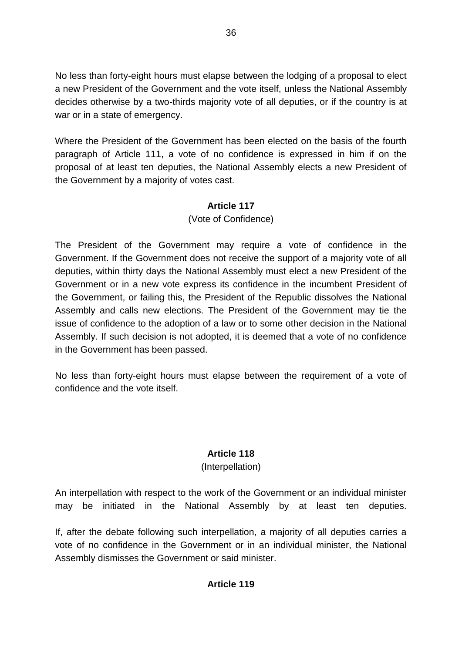No less than forty-eight hours must elapse between the lodging of a proposal to elect a new President of the Government and the vote itself, unless the National Assembly decides otherwise by a two-thirds majority vote of all deputies, or if the country is at war or in a state of emergency.

Where the President of the Government has been elected on the basis of the fourth paragraph of Article 111, a vote of no confidence is expressed in him if on the proposal of at least ten deputies, the National Assembly elects a new President of the Government by a majority of votes cast.

# **Article 117**

# (Vote of Confidence)

The President of the Government may require a vote of confidence in the Government. If the Government does not receive the support of a majority vote of all deputies, within thirty days the National Assembly must elect a new President of the Government or in a new vote express its confidence in the incumbent President of the Government, or failing this, the President of the Republic dissolves the National Assembly and calls new elections. The President of the Government may tie the issue of confidence to the adoption of a law or to some other decision in the National Assembly. If such decision is not adopted, it is deemed that a vote of no confidence in the Government has been passed.

No less than forty-eight hours must elapse between the requirement of a vote of confidence and the vote itself.

# **Article 118**

# (Interpellation)

An interpellation with respect to the work of the Government or an individual minister may be initiated in the National Assembly by at least ten deputies.

If, after the debate following such interpellation, a majority of all deputies carries a vote of no confidence in the Government or in an individual minister, the National Assembly dismisses the Government or said minister.

# **Article 119**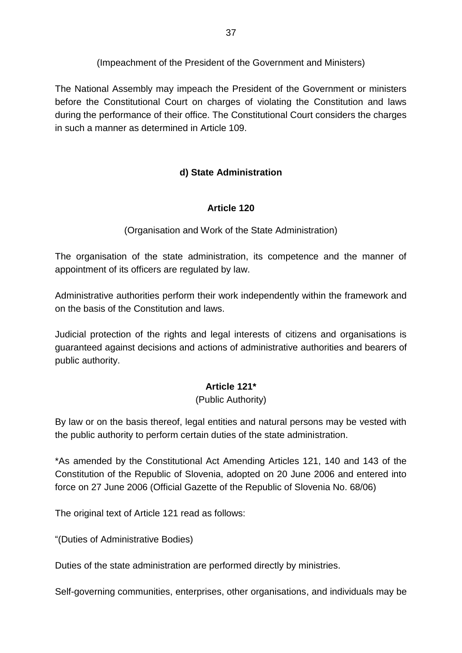(Impeachment of the President of the Government and Ministers)

The National Assembly may impeach the President of the Government or ministers before the Constitutional Court on charges of violating the Constitution and laws during the performance of their office. The Constitutional Court considers the charges in such a manner as determined in Article 109.

# **d) State Administration**

# **Article 120**

(Organisation and Work of the State Administration)

The organisation of the state administration, its competence and the manner of appointment of its officers are regulated by law.

Administrative authorities perform their work independently within the framework and on the basis of the Constitution and laws.

Judicial protection of the rights and legal interests of citizens and organisations is guaranteed against decisions and actions of administrative authorities and bearers of public authority.

### **Article 121\***

### (Public Authority)

By law or on the basis thereof, legal entities and natural persons may be vested with the public authority to perform certain duties of the state administration.

\*As amended by the Constitutional Act Amending Articles 121, 140 and 143 of the Constitution of the Republic of Slovenia, adopted on 20 June 2006 and entered into force on 27 June 2006 (Official Gazette of the Republic of Slovenia No. 68/06)

The original text of Article 121 read as follows:

"(Duties of Administrative Bodies)

Duties of the state administration are performed directly by ministries.

Self-governing communities, enterprises, other organisations, and individuals may be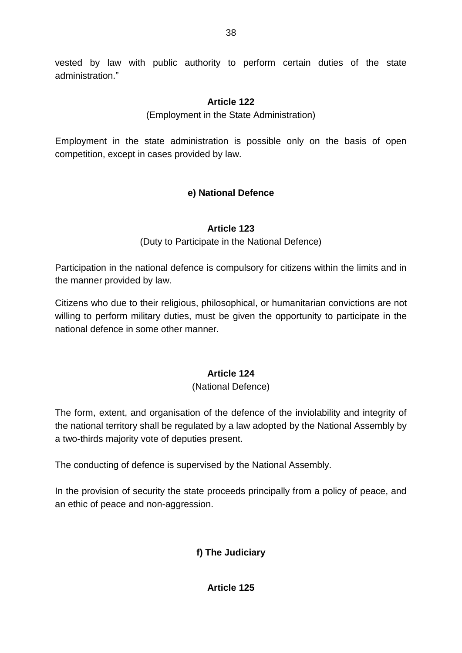vested by law with public authority to perform certain duties of the state administration."

### **Article 122**

### (Employment in the State Administration)

Employment in the state administration is possible only on the basis of open competition, except in cases provided by law.

# **e) National Defence**

### **Article 123**

(Duty to Participate in the National Defence)

Participation in the national defence is compulsory for citizens within the limits and in the manner provided by law.

Citizens who due to their religious, philosophical, or humanitarian convictions are not willing to perform military duties, must be given the opportunity to participate in the national defence in some other manner.

### **Article 124**

### (National Defence)

The form, extent, and organisation of the defence of the inviolability and integrity of the national territory shall be regulated by a law adopted by the National Assembly by a two-thirds majority vote of deputies present.

The conducting of defence is supervised by the National Assembly.

In the provision of security the state proceeds principally from a policy of peace, and an ethic of peace and non-aggression.

# **f) The Judiciary**

**Article 125**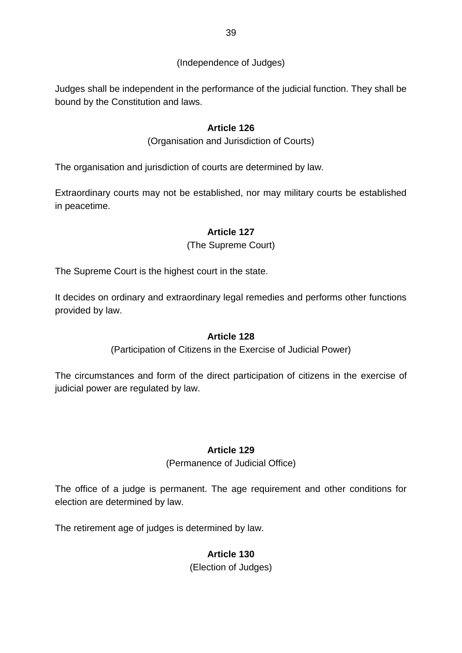### (Independence of Judges)

Judges shall be independent in the performance of the judicial function. They shall be bound by the Constitution and laws.

### **Article 126**

(Organisation and Jurisdiction of Courts)

The organisation and jurisdiction of courts are determined by law.

Extraordinary courts may not be established, nor may military courts be established in peacetime.

### **Article 127**

### (The Supreme Court)

The Supreme Court is the highest court in the state.

It decides on ordinary and extraordinary legal remedies and performs other functions provided by law.

#### **Article 128**

(Participation of Citizens in the Exercise of Judicial Power)

The circumstances and form of the direct participation of citizens in the exercise of judicial power are regulated by law.

### **Article 129**

(Permanence of Judicial Office)

The office of a judge is permanent. The age requirement and other conditions for election are determined by law.

The retirement age of judges is determined by law.

### **Article 130**

(Election of Judges)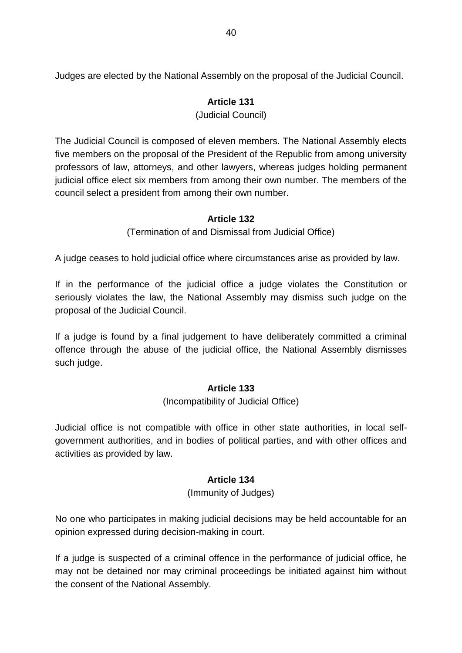Judges are elected by the National Assembly on the proposal of the Judicial Council.

# **Article 131**

# (Judicial Council)

The Judicial Council is composed of eleven members. The National Assembly elects five members on the proposal of the President of the Republic from among university professors of law, attorneys, and other lawyers, whereas judges holding permanent judicial office elect six members from among their own number. The members of the council select a president from among their own number.

# **Article 132**

(Termination of and Dismissal from Judicial Office)

A judge ceases to hold judicial office where circumstances arise as provided by law.

If in the performance of the judicial office a judge violates the Constitution or seriously violates the law, the National Assembly may dismiss such judge on the proposal of the Judicial Council.

If a judge is found by a final judgement to have deliberately committed a criminal offence through the abuse of the judicial office, the National Assembly dismisses such judge.

### **Article 133**

(Incompatibility of Judicial Office)

Judicial office is not compatible with office in other state authorities, in local selfgovernment authorities, and in bodies of political parties, and with other offices and activities as provided by law.

### **Article 134**

(Immunity of Judges)

No one who participates in making judicial decisions may be held accountable for an opinion expressed during decision-making in court.

If a judge is suspected of a criminal offence in the performance of judicial office, he may not be detained nor may criminal proceedings be initiated against him without the consent of the National Assembly.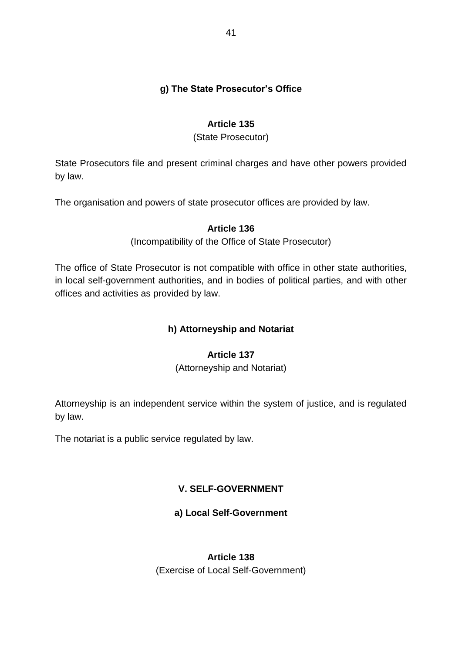# **g) The State Prosecutor's Office**

#### **Article 135**

(State Prosecutor)

State Prosecutors file and present criminal charges and have other powers provided by law.

The organisation and powers of state prosecutor offices are provided by law.

#### **Article 136**

(Incompatibility of the Office of State Prosecutor)

The office of State Prosecutor is not compatible with office in other state authorities, in local self-government authorities, and in bodies of political parties, and with other offices and activities as provided by law.

### **h) Attorneyship and Notariat**

#### **Article 137**

(Attorneyship and Notariat)

Attorneyship is an independent service within the system of justice, and is regulated by law.

The notariat is a public service regulated by law.

### **V. SELF-GOVERNMENT**

### **a) Local Self-Government**

**Article 138** (Exercise of Local Self-Government)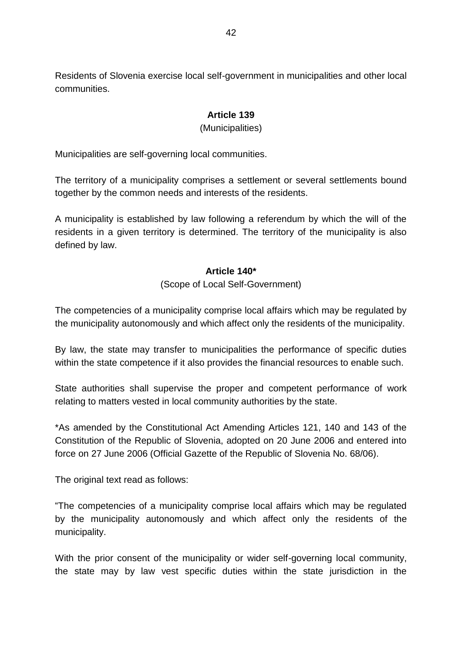Residents of Slovenia exercise local self-government in municipalities and other local communities.

### **Article 139**

### (Municipalities)

Municipalities are self-governing local communities.

The territory of a municipality comprises a settlement or several settlements bound together by the common needs and interests of the residents.

A municipality is established by law following a referendum by which the will of the residents in a given territory is determined. The territory of the municipality is also defined by law.

# **Article 140\***

(Scope of Local Self-Government)

The competencies of a municipality comprise local affairs which may be regulated by the municipality autonomously and which affect only the residents of the municipality.

By law, the state may transfer to municipalities the performance of specific duties within the state competence if it also provides the financial resources to enable such.

State authorities shall supervise the proper and competent performance of work relating to matters vested in local community authorities by the state.

\*As amended by the Constitutional Act Amending Articles 121, 140 and 143 of the Constitution of the Republic of Slovenia, adopted on 20 June 2006 and entered into force on 27 June 2006 (Official Gazette of the Republic of Slovenia No. 68/06).

The original text read as follows:

"The competencies of a municipality comprise local affairs which may be regulated by the municipality autonomously and which affect only the residents of the municipality.

With the prior consent of the municipality or wider self-governing local community, the state may by law vest specific duties within the state jurisdiction in the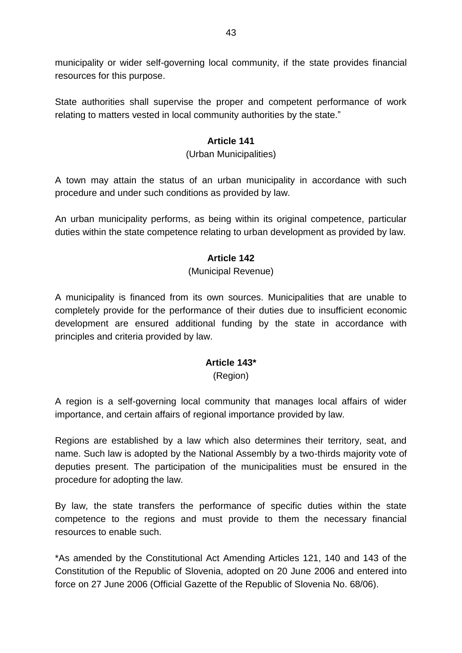municipality or wider self-governing local community, if the state provides financial resources for this purpose.

State authorities shall supervise the proper and competent performance of work relating to matters vested in local community authorities by the state."

### **Article 141**

### (Urban Municipalities)

A town may attain the status of an urban municipality in accordance with such procedure and under such conditions as provided by law.

An urban municipality performs, as being within its original competence, particular duties within the state competence relating to urban development as provided by law.

### **Article 142**

### (Municipal Revenue)

A municipality is financed from its own sources. Municipalities that are unable to completely provide for the performance of their duties due to insufficient economic development are ensured additional funding by the state in accordance with principles and criteria provided by law.

### **Article 143\***

### (Region)

A region is a self-governing local community that manages local affairs of wider importance, and certain affairs of regional importance provided by law.

Regions are established by a law which also determines their territory, seat, and name. Such law is adopted by the National Assembly by a two-thirds majority vote of deputies present. The participation of the municipalities must be ensured in the procedure for adopting the law.

By law, the state transfers the performance of specific duties within the state competence to the regions and must provide to them the necessary financial resources to enable such.

\*As amended by the Constitutional Act Amending Articles 121, 140 and 143 of the Constitution of the Republic of Slovenia, adopted on 20 June 2006 and entered into force on 27 June 2006 (Official Gazette of the Republic of Slovenia No. 68/06).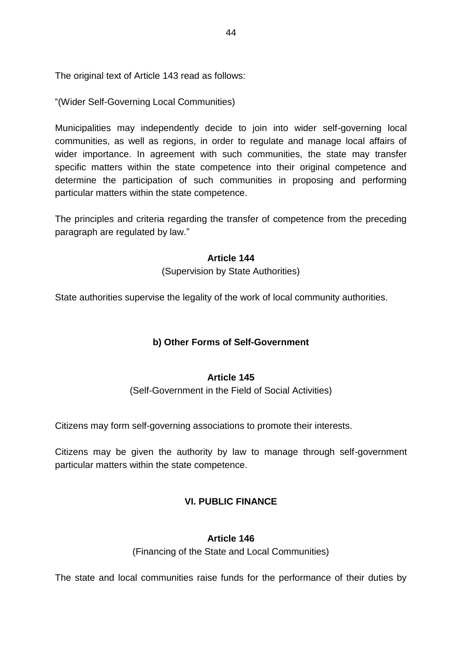The original text of Article 143 read as follows:

"(Wider Self-Governing Local Communities)

Municipalities may independently decide to join into wider self-governing local communities, as well as regions, in order to regulate and manage local affairs of wider importance. In agreement with such communities, the state may transfer specific matters within the state competence into their original competence and determine the participation of such communities in proposing and performing particular matters within the state competence.

The principles and criteria regarding the transfer of competence from the preceding paragraph are regulated by law."

#### **Article 144**

(Supervision by State Authorities)

State authorities supervise the legality of the work of local community authorities.

### **b) Other Forms of Self-Government**

#### **Article 145**

(Self-Government in the Field of Social Activities)

Citizens may form self-governing associations to promote their interests.

Citizens may be given the authority by law to manage through self-government particular matters within the state competence.

### **VI. PUBLIC FINANCE**

#### **Article 146**

(Financing of the State and Local Communities)

The state and local communities raise funds for the performance of their duties by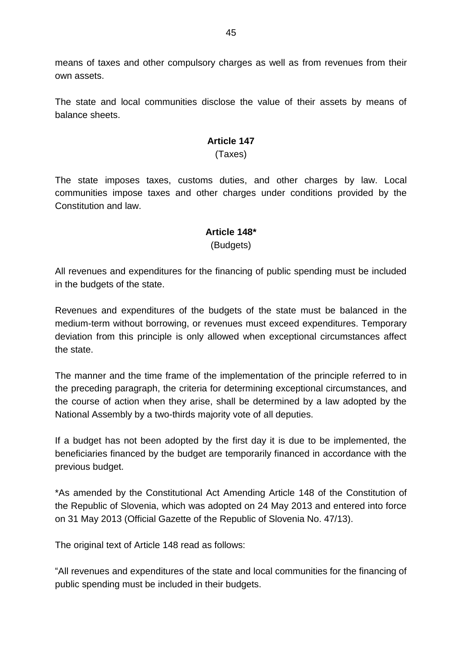means of taxes and other compulsory charges as well as from revenues from their own assets.

The state and local communities disclose the value of their assets by means of balance sheets.

#### **Article 147**

#### (Taxes)

The state imposes taxes, customs duties, and other charges by law. Local communities impose taxes and other charges under conditions provided by the Constitution and law.

# **Article 148\***

(Budgets)

All revenues and expenditures for the financing of public spending must be included in the budgets of the state.

Revenues and expenditures of the budgets of the state must be balanced in the medium-term without borrowing, or revenues must exceed expenditures. Temporary deviation from this principle is only allowed when exceptional circumstances affect the state.

The manner and the time frame of the implementation of the principle referred to in the preceding paragraph, the criteria for determining exceptional circumstances, and the course of action when they arise, shall be determined by a law adopted by the National Assembly by a two-thirds majority vote of all deputies.

If a budget has not been adopted by the first day it is due to be implemented, the beneficiaries financed by the budget are temporarily financed in accordance with the previous budget.

\*As amended by the Constitutional Act Amending Article 148 of the Constitution of the Republic of Slovenia, which was adopted on 24 May 2013 and entered into force on 31 May 2013 (Official Gazette of the Republic of Slovenia No. 47/13).

The original text of Article 148 read as follows:

"All revenues and expenditures of the state and local communities for the financing of public spending must be included in their budgets.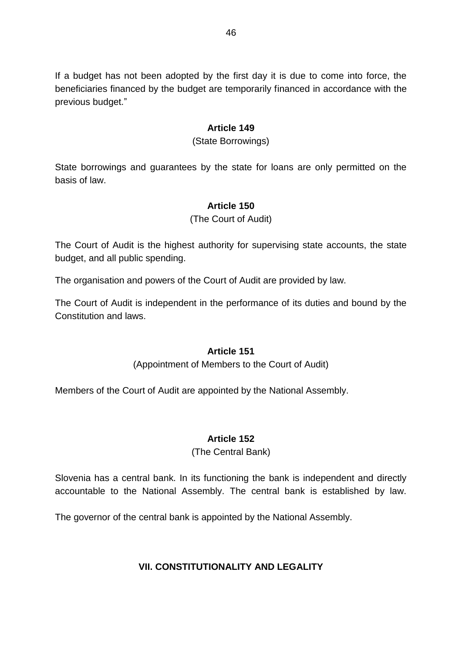If a budget has not been adopted by the first day it is due to come into force, the beneficiaries financed by the budget are temporarily financed in accordance with the previous budget."

#### **Article 149**

#### (State Borrowings)

State borrowings and guarantees by the state for loans are only permitted on the basis of law.

### **Article 150**

(The Court of Audit)

The Court of Audit is the highest authority for supervising state accounts, the state budget, and all public spending.

The organisation and powers of the Court of Audit are provided by law.

The Court of Audit is independent in the performance of its duties and bound by the Constitution and laws.

#### **Article 151**

(Appointment of Members to the Court of Audit)

Members of the Court of Audit are appointed by the National Assembly.

### **Article 152**

(The Central Bank)

Slovenia has a central bank. In its functioning the bank is independent and directly accountable to the National Assembly. The central bank is established by law.

The governor of the central bank is appointed by the National Assembly.

### **VII. CONSTITUTIONALITY AND LEGALITY**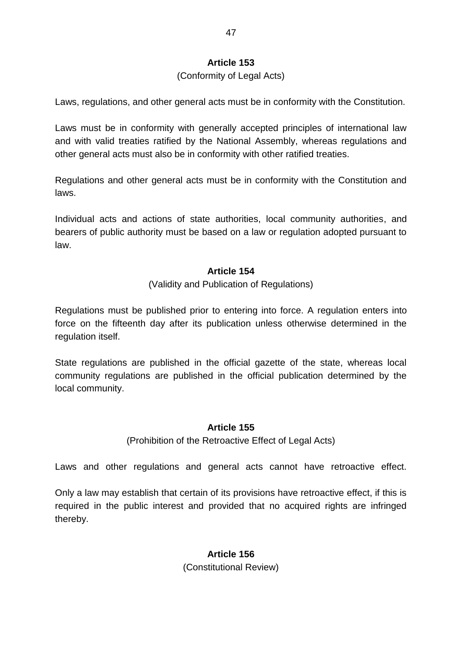### **Article 153**

### (Conformity of Legal Acts)

Laws, regulations, and other general acts must be in conformity with the Constitution.

Laws must be in conformity with generally accepted principles of international law and with valid treaties ratified by the National Assembly, whereas regulations and other general acts must also be in conformity with other ratified treaties.

Regulations and other general acts must be in conformity with the Constitution and laws.

Individual acts and actions of state authorities, local community authorities, and bearers of public authority must be based on a law or regulation adopted pursuant to law.

### **Article 154**

### (Validity and Publication of Regulations)

Regulations must be published prior to entering into force. A regulation enters into force on the fifteenth day after its publication unless otherwise determined in the regulation itself.

State regulations are published in the official gazette of the state, whereas local community regulations are published in the official publication determined by the local community.

### **Article 155**

(Prohibition of the Retroactive Effect of Legal Acts)

Laws and other regulations and general acts cannot have retroactive effect.

Only a law may establish that certain of its provisions have retroactive effect, if this is required in the public interest and provided that no acquired rights are infringed thereby.

#### **Article 156**

(Constitutional Review)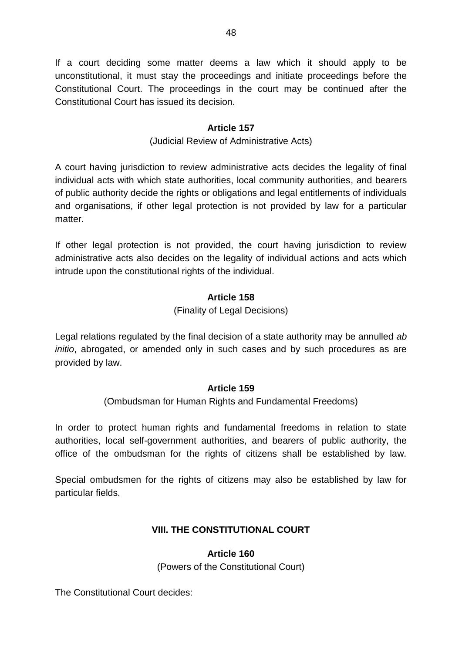If a court deciding some matter deems a law which it should apply to be unconstitutional, it must stay the proceedings and initiate proceedings before the Constitutional Court. The proceedings in the court may be continued after the Constitutional Court has issued its decision.

#### **Article 157**

#### (Judicial Review of Administrative Acts)

A court having jurisdiction to review administrative acts decides the legality of final individual acts with which state authorities, local community authorities, and bearers of public authority decide the rights or obligations and legal entitlements of individuals and organisations, if other legal protection is not provided by law for a particular matter

If other legal protection is not provided, the court having jurisdiction to review administrative acts also decides on the legality of individual actions and acts which intrude upon the constitutional rights of the individual.

#### **Article 158**

(Finality of Legal Decisions)

Legal relations regulated by the final decision of a state authority may be annulled *ab initio*, abrogated, or amended only in such cases and by such procedures as are provided by law.

#### **Article 159**

(Ombudsman for Human Rights and Fundamental Freedoms)

In order to protect human rights and fundamental freedoms in relation to state authorities, local self-government authorities, and bearers of public authority, the office of the ombudsman for the rights of citizens shall be established by law.

Special ombudsmen for the rights of citizens may also be established by law for particular fields.

#### **VIII. THE CONSTITUTIONAL COURT**

#### **Article 160**

(Powers of the Constitutional Court)

The Constitutional Court decides: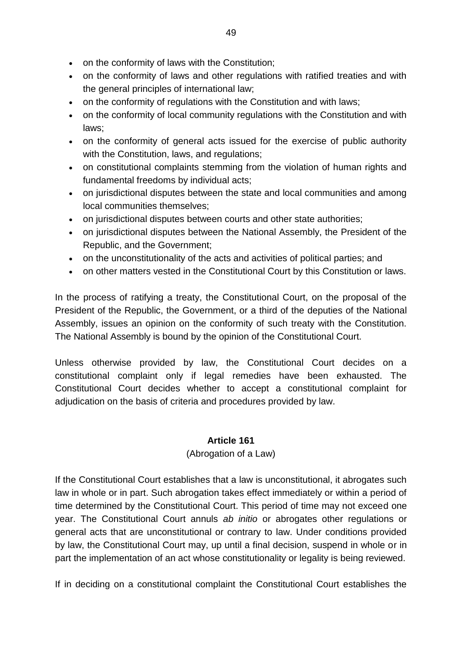- on the conformity of laws with the Constitution;
- on the conformity of laws and other regulations with ratified treaties and with the general principles of international law;
- on the conformity of regulations with the Constitution and with laws;
- on the conformity of local community regulations with the Constitution and with laws;
- on the conformity of general acts issued for the exercise of public authority with the Constitution, laws, and regulations;
- on constitutional complaints stemming from the violation of human rights and fundamental freedoms by individual acts;
- on jurisdictional disputes between the state and local communities and among local communities themselves;
- on jurisdictional disputes between courts and other state authorities;
- on jurisdictional disputes between the National Assembly, the President of the Republic, and the Government;
- on the unconstitutionality of the acts and activities of political parties; and
- on other matters vested in the Constitutional Court by this Constitution or laws.

In the process of ratifying a treaty, the Constitutional Court, on the proposal of the President of the Republic, the Government, or a third of the deputies of the National Assembly, issues an opinion on the conformity of such treaty with the Constitution. The National Assembly is bound by the opinion of the Constitutional Court.

Unless otherwise provided by law, the Constitutional Court decides on a constitutional complaint only if legal remedies have been exhausted. The Constitutional Court decides whether to accept a constitutional complaint for adjudication on the basis of criteria and procedures provided by law.

### **Article 161**

#### (Abrogation of a Law)

If the Constitutional Court establishes that a law is unconstitutional, it abrogates such law in whole or in part. Such abrogation takes effect immediately or within a period of time determined by the Constitutional Court. This period of time may not exceed one year. The Constitutional Court annuls *ab initio* or abrogates other regulations or general acts that are unconstitutional or contrary to law. Under conditions provided by law, the Constitutional Court may, up until a final decision, suspend in whole or in part the implementation of an act whose constitutionality or legality is being reviewed.

If in deciding on a constitutional complaint the Constitutional Court establishes the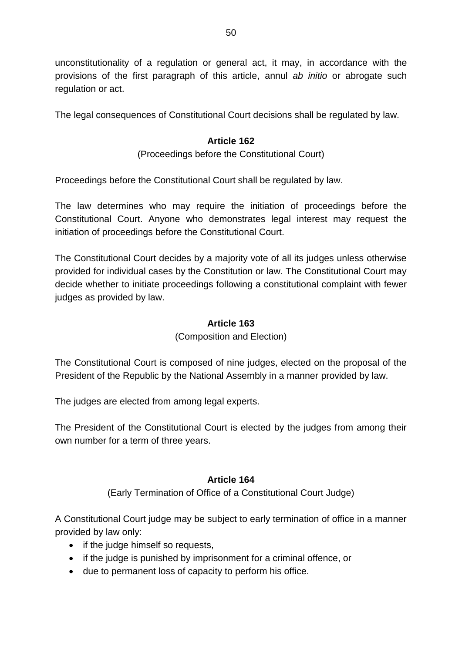unconstitutionality of a regulation or general act, it may, in accordance with the provisions of the first paragraph of this article, annul *ab initio* or abrogate such regulation or act.

The legal consequences of Constitutional Court decisions shall be regulated by law.

### **Article 162**

(Proceedings before the Constitutional Court)

Proceedings before the Constitutional Court shall be regulated by law.

The law determines who may require the initiation of proceedings before the Constitutional Court. Anyone who demonstrates legal interest may request the initiation of proceedings before the Constitutional Court.

The Constitutional Court decides by a majority vote of all its judges unless otherwise provided for individual cases by the Constitution or law. The Constitutional Court may decide whether to initiate proceedings following a constitutional complaint with fewer judges as provided by law.

### **Article 163**

(Composition and Election)

The Constitutional Court is composed of nine judges, elected on the proposal of the President of the Republic by the National Assembly in a manner provided by law.

The judges are elected from among legal experts.

The President of the Constitutional Court is elected by the judges from among their own number for a term of three years.

### **Article 164**

(Early Termination of Office of a Constitutional Court Judge)

A Constitutional Court judge may be subject to early termination of office in a manner provided by law only:

- if the judge himself so requests,
- if the judge is punished by imprisonment for a criminal offence, or
- due to permanent loss of capacity to perform his office.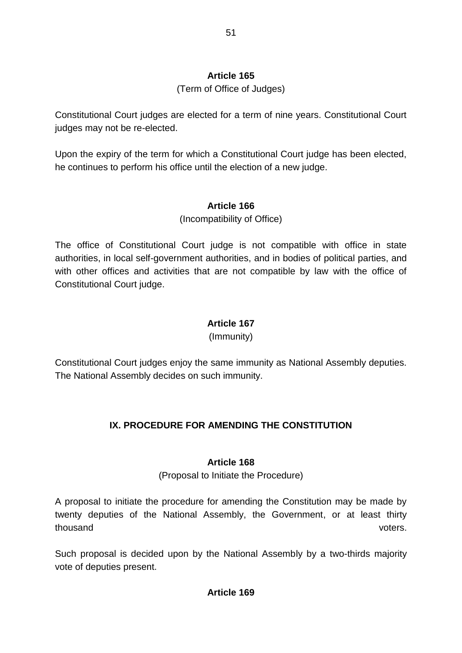### **Article 165**

(Term of Office of Judges)

Constitutional Court judges are elected for a term of nine years. Constitutional Court judges may not be re-elected.

Upon the expiry of the term for which a Constitutional Court judge has been elected, he continues to perform his office until the election of a new judge.

### **Article 166**

(Incompatibility of Office)

The office of Constitutional Court judge is not compatible with office in state authorities, in local self-government authorities, and in bodies of political parties, and with other offices and activities that are not compatible by law with the office of Constitutional Court judge.

# **Article 167**

(Immunity)

Constitutional Court judges enjoy the same immunity as National Assembly deputies. The National Assembly decides on such immunity.

# **IX. PROCEDURE FOR AMENDING THE CONSTITUTION**

### **Article 168**

(Proposal to Initiate the Procedure)

A proposal to initiate the procedure for amending the Constitution may be made by twenty deputies of the National Assembly, the Government, or at least thirty thousand voters.

Such proposal is decided upon by the National Assembly by a two-thirds majority vote of deputies present.

### **Article 169**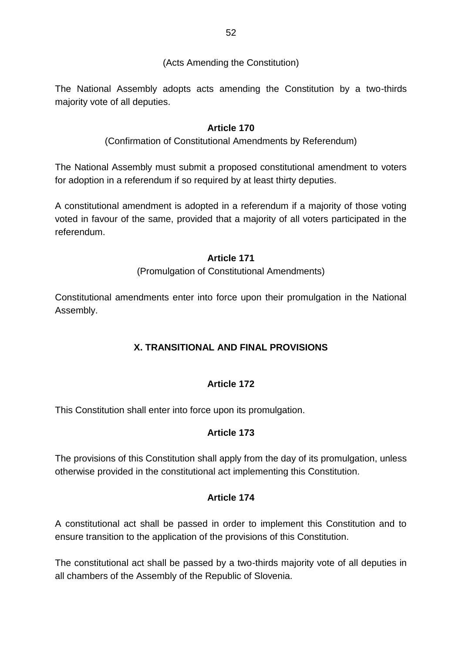The National Assembly adopts acts amending the Constitution by a two-thirds majority vote of all deputies.

### **Article 170**

# (Confirmation of Constitutional Amendments by Referendum)

The National Assembly must submit a proposed constitutional amendment to voters for adoption in a referendum if so required by at least thirty deputies.

A constitutional amendment is adopted in a referendum if a majority of those voting voted in favour of the same, provided that a majority of all voters participated in the referendum.

# **Article 171**

# (Promulgation of Constitutional Amendments)

Constitutional amendments enter into force upon their promulgation in the National Assembly.

# **X. TRANSITIONAL AND FINAL PROVISIONS**

# **Article 172**

This Constitution shall enter into force upon its promulgation.

# **Article 173**

The provisions of this Constitution shall apply from the day of its promulgation, unless otherwise provided in the constitutional act implementing this Constitution.

# **Article 174**

A constitutional act shall be passed in order to implement this Constitution and to ensure transition to the application of the provisions of this Constitution.

The constitutional act shall be passed by a two-thirds majority vote of all deputies in all chambers of the Assembly of the Republic of Slovenia.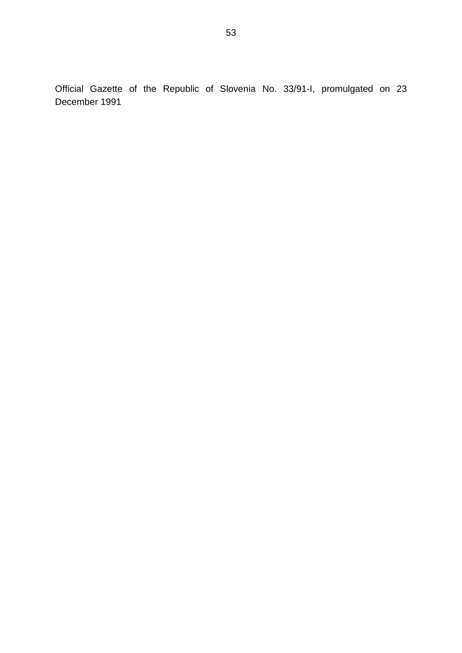Official Gazette of the Republic of Slovenia No. 33/91-I, promulgated on 23 December 1991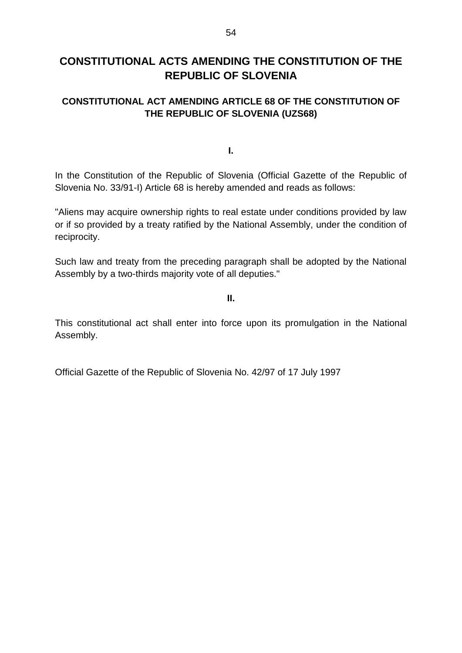# **CONSTITUTIONAL ACTS AMENDING THE CONSTITUTION OF THE REPUBLIC OF SLOVENIA**

# **CONSTITUTIONAL ACT AMENDING ARTICLE 68 OF THE CONSTITUTION OF THE REPUBLIC OF SLOVENIA (UZS68)**

**I.**

In the Constitution of the Republic of Slovenia (Official Gazette of the Republic of Slovenia No. 33/91-I) Article 68 is hereby amended and reads as follows:

"Aliens may acquire ownership rights to real estate under conditions provided by law or if so provided by a treaty ratified by the National Assembly, under the condition of reciprocity.

Such law and treaty from the preceding paragraph shall be adopted by the National Assembly by a two-thirds majority vote of all deputies."

**II.**

This constitutional act shall enter into force upon its promulgation in the National Assembly.

Official Gazette of the Republic of Slovenia No. 42/97 of 17 July 1997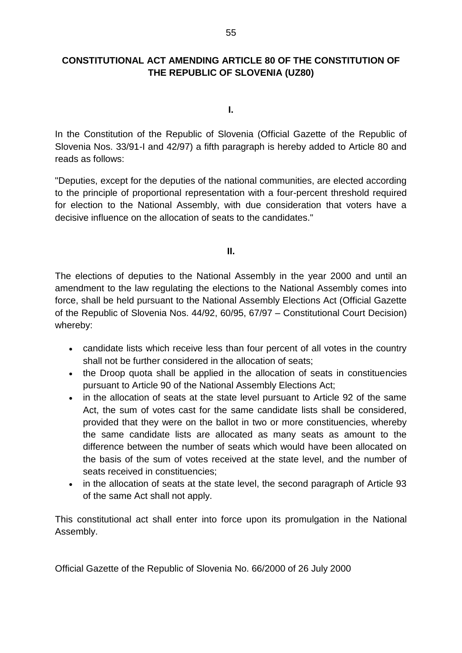# **CONSTITUTIONAL ACT AMENDING ARTICLE 80 OF THE CONSTITUTION OF THE REPUBLIC OF SLOVENIA (UZ80)**

**I.**

In the Constitution of the Republic of Slovenia (Official Gazette of the Republic of Slovenia Nos. 33/91-I and 42/97) a fifth paragraph is hereby added to Article 80 and reads as follows:

"Deputies, except for the deputies of the national communities, are elected according to the principle of proportional representation with a four-percent threshold required for election to the National Assembly, with due consideration that voters have a decisive influence on the allocation of seats to the candidates."

**II.**

The elections of deputies to the National Assembly in the year 2000 and until an amendment to the law regulating the elections to the National Assembly comes into force, shall be held pursuant to the National Assembly Elections Act (Official Gazette of the Republic of Slovenia Nos. 44/92, 60/95, 67/97 – Constitutional Court Decision) whereby:

- candidate lists which receive less than four percent of all votes in the country shall not be further considered in the allocation of seats;
- the Droop quota shall be applied in the allocation of seats in constituencies pursuant to Article 90 of the National Assembly Elections Act;
- in the allocation of seats at the state level pursuant to Article 92 of the same Act, the sum of votes cast for the same candidate lists shall be considered, provided that they were on the ballot in two or more constituencies, whereby the same candidate lists are allocated as many seats as amount to the difference between the number of seats which would have been allocated on the basis of the sum of votes received at the state level, and the number of seats received in constituencies;
- in the allocation of seats at the state level, the second paragraph of Article 93 of the same Act shall not apply.

This constitutional act shall enter into force upon its promulgation in the National Assembly.

Official Gazette of the Republic of Slovenia No. 66/2000 of 26 July 2000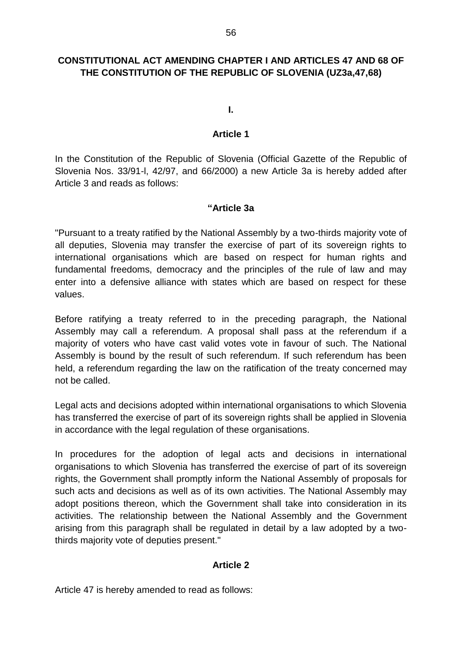# **CONSTITUTIONAL ACT AMENDING CHAPTER I AND ARTICLES 47 AND 68 OF THE CONSTITUTION OF THE REPUBLIC OF SLOVENIA (UZ3a,47,68)**

**I.**

#### **Article 1**

In the Constitution of the Republic of Slovenia (Official Gazette of the Republic of Slovenia Nos. 33/91-l, 42/97, and 66/2000) a new Article 3a is hereby added after Article 3 and reads as follows:

#### **"Article 3a**

"Pursuant to a treaty ratified by the National Assembly by a two-thirds majority vote of all deputies, Slovenia may transfer the exercise of part of its sovereign rights to international organisations which are based on respect for human rights and fundamental freedoms, democracy and the principles of the rule of law and may enter into a defensive alliance with states which are based on respect for these values.

Before ratifying a treaty referred to in the preceding paragraph, the National Assembly may call a referendum. A proposal shall pass at the referendum if a majority of voters who have cast valid votes vote in favour of such. The National Assembly is bound by the result of such referendum. If such referendum has been held, a referendum regarding the law on the ratification of the treaty concerned may not be called.

Legal acts and decisions adopted within international organisations to which Slovenia has transferred the exercise of part of its sovereign rights shall be applied in Slovenia in accordance with the legal regulation of these organisations.

In procedures for the adoption of legal acts and decisions in international organisations to which Slovenia has transferred the exercise of part of its sovereign rights, the Government shall promptly inform the National Assembly of proposals for such acts and decisions as well as of its own activities. The National Assembly may adopt positions thereon, which the Government shall take into consideration in its activities. The relationship between the National Assembly and the Government arising from this paragraph shall be regulated in detail by a law adopted by a twothirds majority vote of deputies present."

#### **Article 2**

Article 47 is hereby amended to read as follows: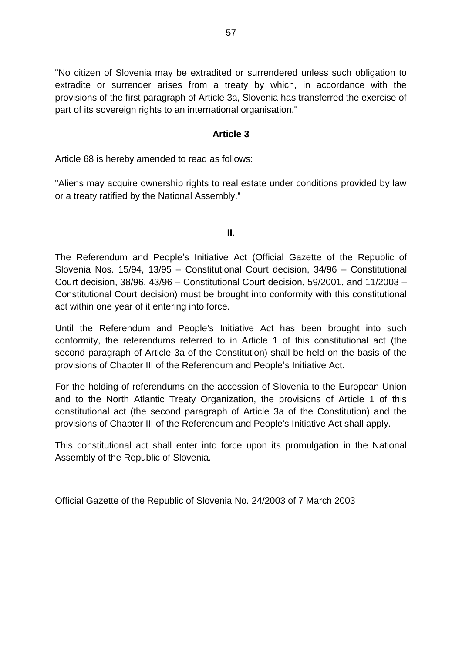"No citizen of Slovenia may be extradited or surrendered unless such obligation to extradite or surrender arises from a treaty by which, in accordance with the provisions of the first paragraph of Article 3a, Slovenia has transferred the exercise of part of its sovereign rights to an international organisation."

#### **Article 3**

Article 68 is hereby amended to read as follows:

"Aliens may acquire ownership rights to real estate under conditions provided by law or a treaty ratified by the National Assembly."

#### **II.**

The Referendum and People's Initiative Act (Official Gazette of the Republic of Slovenia Nos. 15/94, 13/95 – Constitutional Court decision, 34/96 – Constitutional Court decision, 38/96, 43/96 – Constitutional Court decision, 59/2001, and 11/2003 – Constitutional Court decision) must be brought into conformity with this constitutional act within one year of it entering into force.

Until the Referendum and People's Initiative Act has been brought into such conformity, the referendums referred to in Article 1 of this constitutional act (the second paragraph of Article 3a of the Constitution) shall be held on the basis of the provisions of Chapter III of the Referendum and People's Initiative Act.

For the holding of referendums on the accession of Slovenia to the European Union and to the North Atlantic Treaty Organization, the provisions of Article 1 of this constitutional act (the second paragraph of Article 3a of the Constitution) and the provisions of Chapter III of the Referendum and People's Initiative Act shall apply.

This constitutional act shall enter into force upon its promulgation in the National Assembly of the Republic of Slovenia.

Official Gazette of the Republic of Slovenia No. 24/2003 of 7 March 2003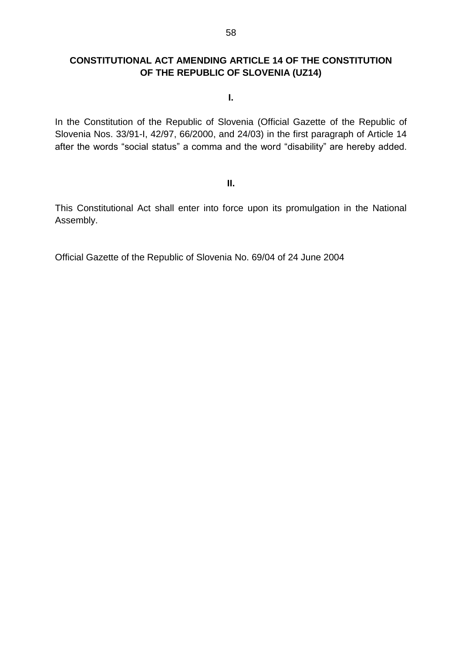# **CONSTITUTIONAL ACT AMENDING ARTICLE 14 OF THE CONSTITUTION OF THE REPUBLIC OF SLOVENIA (UZ14)**

**I.**

In the Constitution of the Republic of Slovenia (Official Gazette of the Republic of Slovenia Nos. 33/91-I, 42/97, 66/2000, and 24/03) in the first paragraph of Article 14 after the words "social status" a comma and the word "disability" are hereby added.

#### **II.**

This Constitutional Act shall enter into force upon its promulgation in the National Assembly.

Official Gazette of the Republic of Slovenia No. 69/04 of 24 June 2004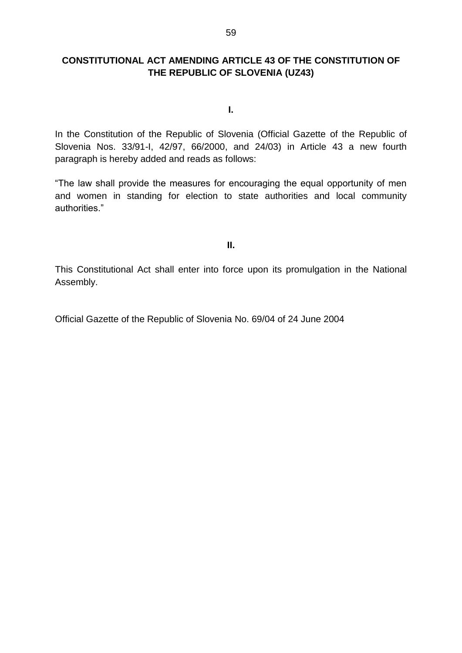# **CONSTITUTIONAL ACT AMENDING ARTICLE 43 OF THE CONSTITUTION OF THE REPUBLIC OF SLOVENIA (UZ43)**

**I.**

In the Constitution of the Republic of Slovenia (Official Gazette of the Republic of Slovenia Nos. 33/91-I, 42/97, 66/2000, and 24/03) in Article 43 a new fourth paragraph is hereby added and reads as follows:

"The law shall provide the measures for encouraging the equal opportunity of men and women in standing for election to state authorities and local community authorities."

**II.**

This Constitutional Act shall enter into force upon its promulgation in the National Assembly.

Official Gazette of the Republic of Slovenia No. 69/04 of 24 June 2004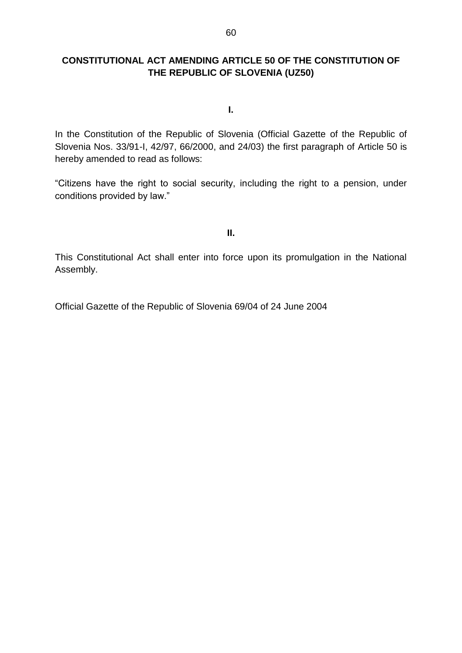# **CONSTITUTIONAL ACT AMENDING ARTICLE 50 OF THE CONSTITUTION OF THE REPUBLIC OF SLOVENIA (UZ50)**

**I.**

In the Constitution of the Republic of Slovenia (Official Gazette of the Republic of Slovenia Nos. 33/91-I, 42/97, 66/2000, and 24/03) the first paragraph of Article 50 is hereby amended to read as follows:

"Citizens have the right to social security, including the right to a pension, under conditions provided by law."

**II.**

This Constitutional Act shall enter into force upon its promulgation in the National Assembly.

Official Gazette of the Republic of Slovenia 69/04 of 24 June 2004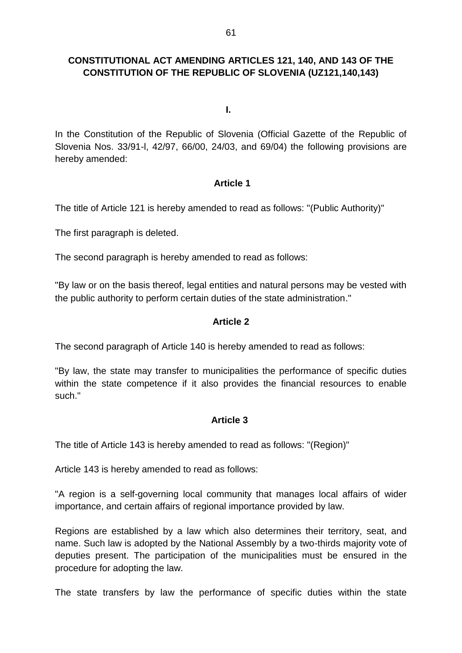# **CONSTITUTIONAL ACT AMENDING ARTICLES 121, 140, AND 143 OF THE CONSTITUTION OF THE REPUBLIC OF SLOVENIA (UZ121,140,143)**

**I.** 

In the Constitution of the Republic of Slovenia (Official Gazette of the Republic of Slovenia Nos. 33/91-l, 42/97, 66/00, 24/03, and 69/04) the following provisions are hereby amended:

### **Article 1**

The title of Article 121 is hereby amended to read as follows: "(Public Authority)"

The first paragraph is deleted.

The second paragraph is hereby amended to read as follows:

"By law or on the basis thereof, legal entities and natural persons may be vested with the public authority to perform certain duties of the state administration."

#### **Article 2**

The second paragraph of Article 140 is hereby amended to read as follows:

"By law, the state may transfer to municipalities the performance of specific duties within the state competence if it also provides the financial resources to enable such."

### **Article 3**

The title of Article 143 is hereby amended to read as follows: "(Region)"

Article 143 is hereby amended to read as follows:

"A region is a self-governing local community that manages local affairs of wider importance, and certain affairs of regional importance provided by law.

Regions are established by a law which also determines their territory, seat, and name. Such law is adopted by the National Assembly by a two-thirds majority vote of deputies present. The participation of the municipalities must be ensured in the procedure for adopting the law.

The state transfers by law the performance of specific duties within the state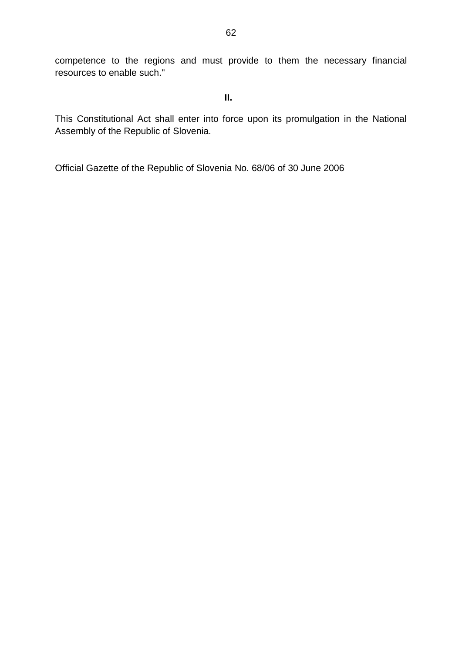competence to the regions and must provide to them the necessary financial resources to enable such."

**II.**

This Constitutional Act shall enter into force upon its promulgation in the National Assembly of the Republic of Slovenia.

Official Gazette of the Republic of Slovenia No. 68/06 of 30 June 2006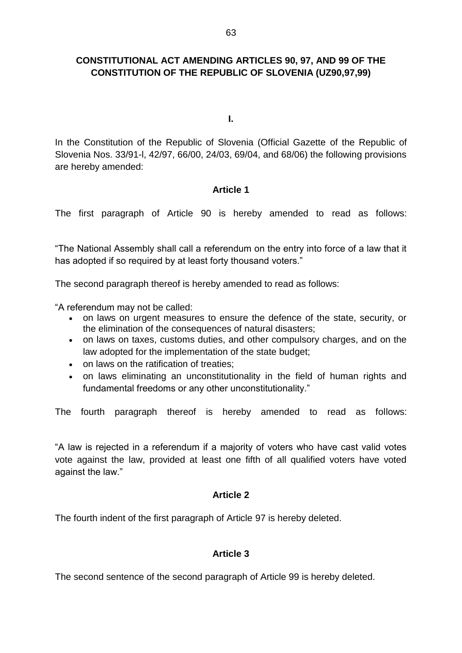# **CONSTITUTIONAL ACT AMENDING ARTICLES 90, 97, AND 99 OF THE CONSTITUTION OF THE REPUBLIC OF SLOVENIA (UZ90,97,99)**

**I.**

In the Constitution of the Republic of Slovenia (Official Gazette of the Republic of Slovenia Nos. 33/91-l, 42/97, 66/00, 24/03, 69/04, and 68/06) the following provisions are hereby amended:

### **Article 1**

The first paragraph of Article 90 is hereby amended to read as follows:

"The National Assembly shall call a referendum on the entry into force of a law that it has adopted if so required by at least forty thousand voters."

The second paragraph thereof is hereby amended to read as follows:

"A referendum may not be called:

- on laws on urgent measures to ensure the defence of the state, security, or the elimination of the consequences of natural disasters;
- on laws on taxes, customs duties, and other compulsory charges, and on the law adopted for the implementation of the state budget;
- on laws on the ratification of treaties:
- on laws eliminating an unconstitutionality in the field of human rights and fundamental freedoms or any other unconstitutionality."

The fourth paragraph thereof is hereby amended to read as follows:

"A law is rejected in a referendum if a majority of voters who have cast valid votes vote against the law, provided at least one fifth of all qualified voters have voted against the law."

#### **Article 2**

The fourth indent of the first paragraph of Article 97 is hereby deleted.

#### **Article 3**

The second sentence of the second paragraph of Article 99 is hereby deleted.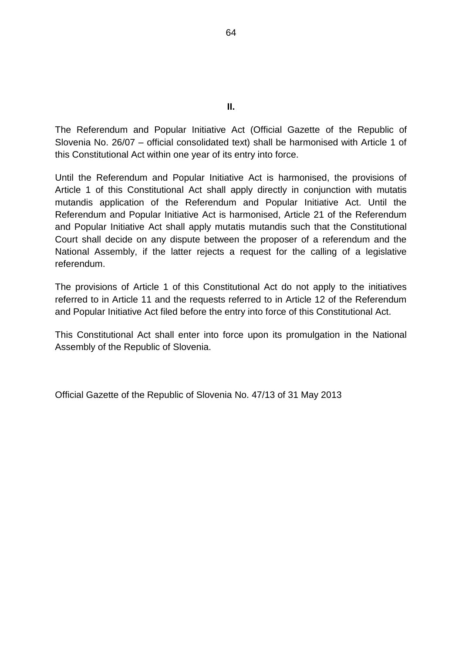**II.**

The Referendum and Popular Initiative Act (Official Gazette of the Republic of Slovenia No. 26/07 – official consolidated text) shall be harmonised with Article 1 of this Constitutional Act within one year of its entry into force.

Until the Referendum and Popular Initiative Act is harmonised, the provisions of Article 1 of this Constitutional Act shall apply directly in conjunction with mutatis mutandis application of the Referendum and Popular Initiative Act. Until the Referendum and Popular Initiative Act is harmonised, Article 21 of the Referendum and Popular Initiative Act shall apply mutatis mutandis such that the Constitutional Court shall decide on any dispute between the proposer of a referendum and the National Assembly, if the latter rejects a request for the calling of a legislative referendum.

The provisions of Article 1 of this Constitutional Act do not apply to the initiatives referred to in Article 11 and the requests referred to in Article 12 of the Referendum and Popular Initiative Act filed before the entry into force of this Constitutional Act.

This Constitutional Act shall enter into force upon its promulgation in the National Assembly of the Republic of Slovenia.

Official Gazette of the Republic of Slovenia No. 47/13 of 31 May 2013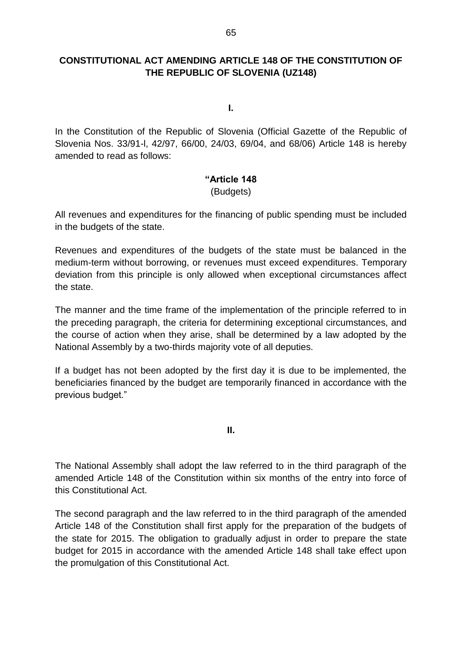# **CONSTITUTIONAL ACT AMENDING ARTICLE 148 OF THE CONSTITUTION OF THE REPUBLIC OF SLOVENIA (UZ148)**

**I.**

In the Constitution of the Republic of Slovenia (Official Gazette of the Republic of Slovenia Nos. 33/91-l, 42/97, 66/00, 24/03, 69/04, and 68/06) Article 148 is hereby amended to read as follows:

#### **"Article 148** (Budgets)

All revenues and expenditures for the financing of public spending must be included in the budgets of the state.

Revenues and expenditures of the budgets of the state must be balanced in the medium-term without borrowing, or revenues must exceed expenditures. Temporary deviation from this principle is only allowed when exceptional circumstances affect the state.

The manner and the time frame of the implementation of the principle referred to in the preceding paragraph, the criteria for determining exceptional circumstances, and the course of action when they arise, shall be determined by a law adopted by the National Assembly by a two-thirds majority vote of all deputies.

If a budget has not been adopted by the first day it is due to be implemented, the beneficiaries financed by the budget are temporarily financed in accordance with the previous budget."

**II.**

The National Assembly shall adopt the law referred to in the third paragraph of the amended Article 148 of the Constitution within six months of the entry into force of this Constitutional Act.

The second paragraph and the law referred to in the third paragraph of the amended Article 148 of the Constitution shall first apply for the preparation of the budgets of the state for 2015. The obligation to gradually adjust in order to prepare the state budget for 2015 in accordance with the amended Article 148 shall take effect upon the promulgation of this Constitutional Act.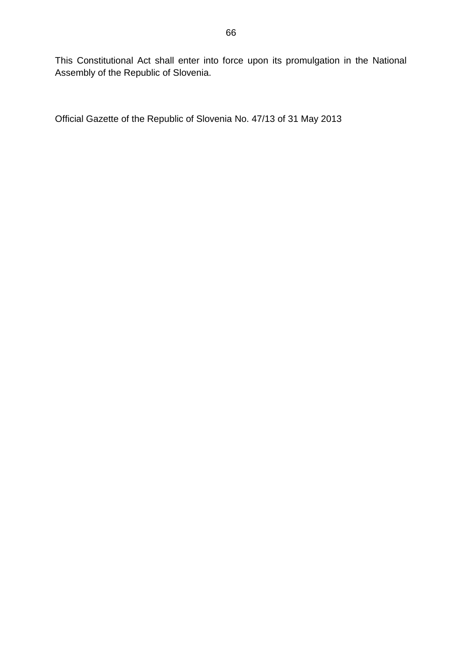This Constitutional Act shall enter into force upon its promulgation in the National Assembly of the Republic of Slovenia.

Official Gazette of the Republic of Slovenia No. 47/13 of 31 May 2013